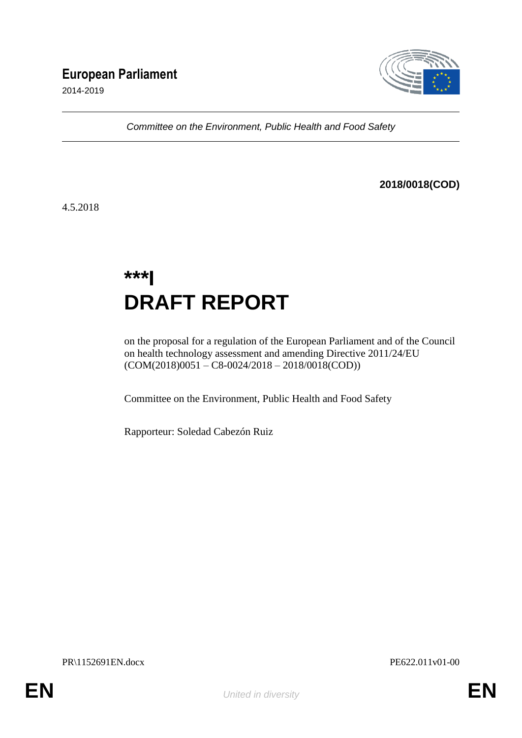## **European Parliament**

2014-2019



*Committee on the Environment, Public Health and Food Safety*

### **2018/0018(COD)**

4.5.2018

# **\*\*\*I DRAFT REPORT**

on the proposal for a regulation of the European Parliament and of the Council on health technology assessment and amending Directive 2011/24/EU (COM(2018)0051 – C8-0024/2018 – 2018/0018(COD))

Committee on the Environment, Public Health and Food Safety

Rapporteur: Soledad Cabezón Ruiz

PR\1152691EN.docx PE622.011v01-00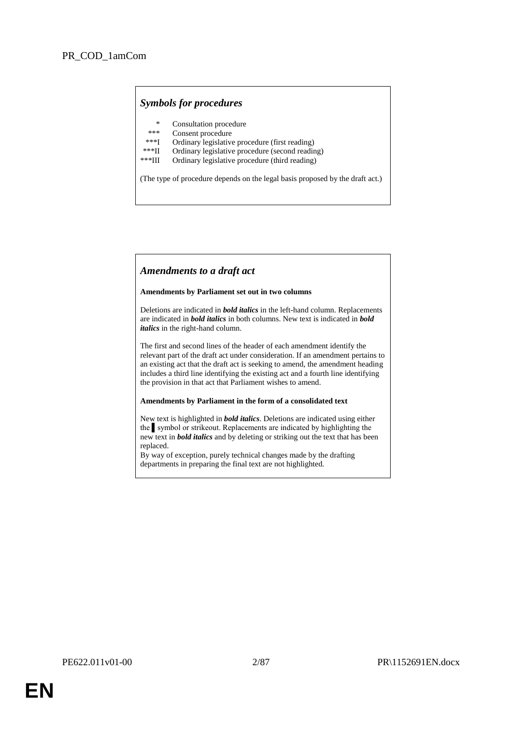### *Symbols for procedures*

- \* Consultation procedure
- \*\*\* Consent procedure<br>\*\*\*I Ordinary legislative
- \*\*\*I Ordinary legislative procedure (first reading)
- \*\*\*II Ordinary legislative procedure (second reading)
- Ordinary legislative procedure (third reading)

(The type of procedure depends on the legal basis proposed by the draft act.)

### *Amendments to a draft act*

#### **Amendments by Parliament set out in two columns**

Deletions are indicated in *bold italics* in the left-hand column. Replacements are indicated in *bold italics* in both columns. New text is indicated in *bold italics* in the right-hand column.

The first and second lines of the header of each amendment identify the relevant part of the draft act under consideration. If an amendment pertains to an existing act that the draft act is seeking to amend, the amendment heading includes a third line identifying the existing act and a fourth line identifying the provision in that act that Parliament wishes to amend.

#### **Amendments by Parliament in the form of a consolidated text**

New text is highlighted in *bold italics*. Deletions are indicated using either the ▌symbol or strikeout. Replacements are indicated by highlighting the new text in *bold italics* and by deleting or striking out the text that has been replaced.

By way of exception, purely technical changes made by the drafting departments in preparing the final text are not highlighted.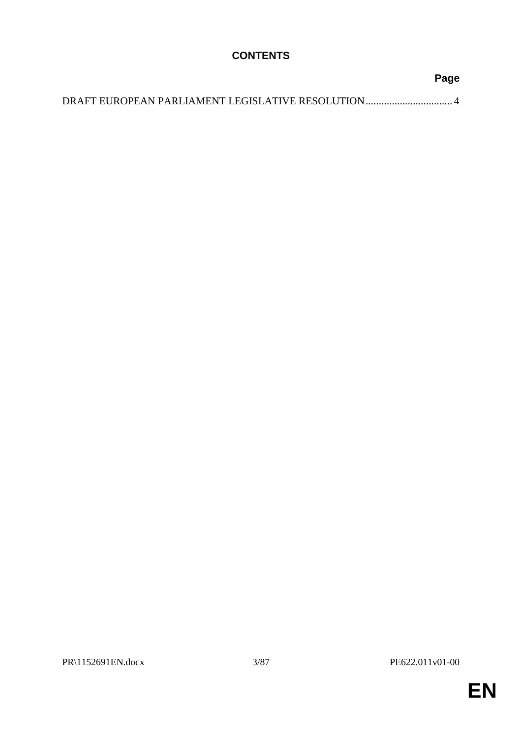### **CONTENTS**

| Page |
|------|
|      |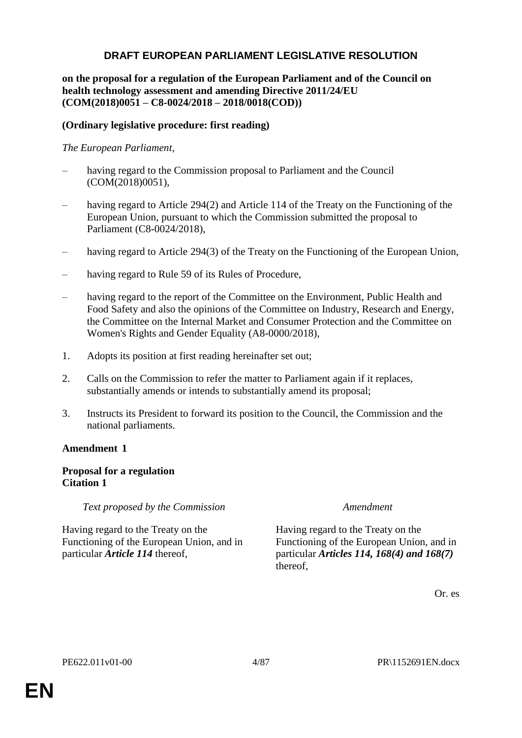### **DRAFT EUROPEAN PARLIAMENT LEGISLATIVE RESOLUTION**

### **on the proposal for a regulation of the European Parliament and of the Council on health technology assessment and amending Directive 2011/24/EU (COM(2018)0051 – C8-0024/2018 – 2018/0018(COD))**

### **(Ordinary legislative procedure: first reading)**

### *The European Parliament*,

- having regard to the Commission proposal to Parliament and the Council (COM(2018)0051),
- having regard to Article 294(2) and Article 114 of the Treaty on the Functioning of the European Union, pursuant to which the Commission submitted the proposal to Parliament (C8-0024/2018),
- having regard to Article 294(3) of the Treaty on the Functioning of the European Union,
- having regard to Rule 59 of its Rules of Procedure,
- having regard to the report of the Committee on the Environment, Public Health and Food Safety and also the opinions of the Committee on Industry, Research and Energy, the Committee on the Internal Market and Consumer Protection and the Committee on Women's Rights and Gender Equality (A8-0000/2018),
- 1. Adopts its position at first reading hereinafter set out;
- 2. Calls on the Commission to refer the matter to Parliament again if it replaces, substantially amends or intends to substantially amend its proposal;
- 3. Instructs its President to forward its position to the Council, the Commission and the national parliaments.

### **Amendment 1**

### **Proposal for a regulation Citation 1**

*Text proposed by the Commission Amendment*

Having regard to the Treaty on the Functioning of the European Union, and in particular *Article 114* thereof,

Having regard to the Treaty on the Functioning of the European Union, and in particular *Articles 114, 168(4) and 168(7)* thereof,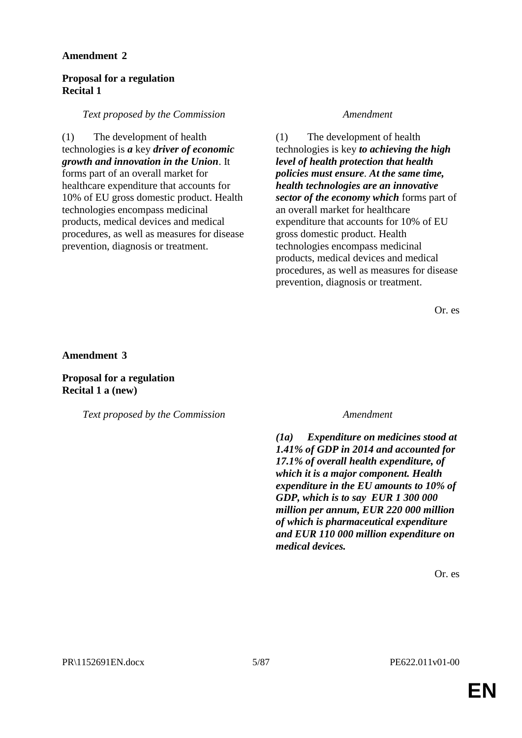### **Proposal for a regulation Recital 1**

### *Text proposed by the Commission Amendment*

(1) The development of health technologies is *a* key *driver of economic growth and innovation in the Union*. It forms part of an overall market for healthcare expenditure that accounts for 10% of EU gross domestic product. Health technologies encompass medicinal products, medical devices and medical procedures, as well as measures for disease prevention, diagnosis or treatment.

(1) The development of health technologies is key *to achieving the high level of health protection that health policies must ensure. At the same time, health technologies are an innovative sector of the economy which* forms part of an overall market for healthcare expenditure that accounts for 10% of EU gross domestic product. Health technologies encompass medicinal products, medical devices and medical procedures, as well as measures for disease prevention, diagnosis or treatment.

Or. es

**Amendment 3**

**Proposal for a regulation Recital 1 a (new)**

*Text proposed by the Commission Amendment*

*(1a) Expenditure on medicines stood at 1.41% of GDP in 2014 and accounted for 17.1% of overall health expenditure, of which it is a major component. Health expenditure in the EU amounts to 10% of GDP, which is to say EUR 1 300 000 million per annum, EUR 220 000 million of which is pharmaceutical expenditure and EUR 110 000 million expenditure on medical devices.*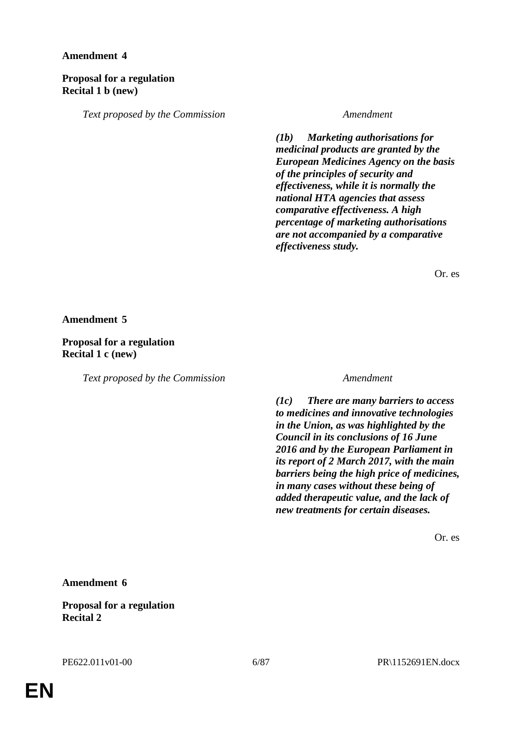### **Proposal for a regulation Recital 1 b (new)**

*Text proposed by the Commission Amendment*

*(1b) Marketing authorisations for medicinal products are granted by the European Medicines Agency on the basis of the principles of security and effectiveness, while it is normally the national HTA agencies that assess comparative effectiveness. A high percentage of marketing authorisations are not accompanied by a comparative effectiveness study.*

Or. es

**Amendment 5**

**Proposal for a regulation Recital 1 c (new)**

*Text proposed by the Commission Amendment*

*(1c) There are many barriers to access to medicines and innovative technologies in the Union, as was highlighted by the Council in its conclusions of 16 June 2016 and by the European Parliament in its report of 2 March 2017, with the main barriers being the high price of medicines, in many cases without these being of added therapeutic value, and the lack of new treatments for certain diseases.*

Or. es

**Amendment 6**

**Proposal for a regulation Recital 2**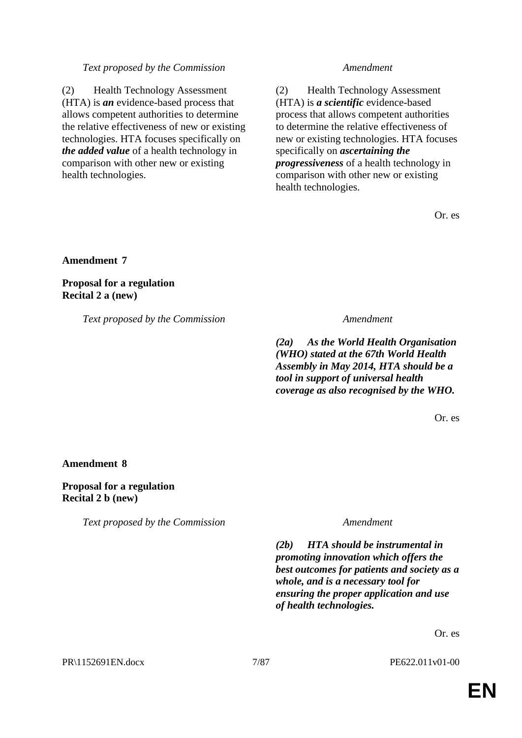#### *Text proposed by the Commission Amendment*

(2) Health Technology Assessment (HTA) is *an* evidence-based process that allows competent authorities to determine the relative effectiveness of new or existing technologies. HTA focuses specifically on *the added value* of a health technology in comparison with other new or existing health technologies.

(2) Health Technology Assessment (HTA) is *a scientific* evidence-based process that allows competent authorities to determine the relative effectiveness of new or existing technologies. HTA focuses specifically on *ascertaining the progressiveness* of a health technology in comparison with other new or existing health technologies.

Or. es

**Amendment 7**

**Proposal for a regulation Recital 2 a (new)**

*Text proposed by the Commission Amendment*

*(2a) As the World Health Organisation (WHO) stated at the 67th World Health Assembly in May 2014, HTA should be a tool in support of universal health coverage as also recognised by the WHO.*

Or. es

**Amendment 8**

**Proposal for a regulation Recital 2 b (new)**

*Text proposed by the Commission Amendment*

*(2b) HTA should be instrumental in promoting innovation which offers the best outcomes for patients and society as a whole, and is a necessary tool for ensuring the proper application and use of health technologies.*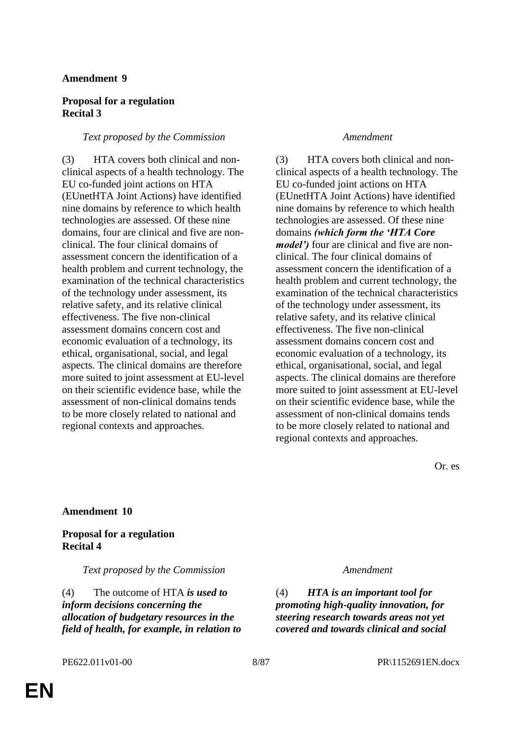### **Proposal for a regulation Recital 3**

#### *Text proposed by the Commission Amendment*

(3) HTA covers both clinical and nonclinical aspects of a health technology. The EU co-funded joint actions on HTA (EUnetHTA Joint Actions) have identified nine domains by reference to which health technologies are assessed. Of these nine domains, four are clinical and five are nonclinical. The four clinical domains of assessment concern the identification of a health problem and current technology, the examination of the technical characteristics of the technology under assessment, its relative safety, and its relative clinical effectiveness. The five non-clinical assessment domains concern cost and economic evaluation of a technology, its ethical, organisational, social, and legal aspects. The clinical domains are therefore more suited to joint assessment at EU-level on their scientific evidence base, while the assessment of non-clinical domains tends to be more closely related to national and regional contexts and approaches.

(3) HTA covers both clinical and nonclinical aspects of a health technology. The EU co-funded joint actions on HTA (EUnetHTA Joint Actions) have identified nine domains by reference to which health technologies are assessed. Of these nine domains *(which form the 'HTA Core model')* four are clinical and five are nonclinical. The four clinical domains of assessment concern the identification of a health problem and current technology, the examination of the technical characteristics of the technology under assessment, its relative safety, and its relative clinical effectiveness. The five non-clinical assessment domains concern cost and economic evaluation of a technology, its ethical, organisational, social, and legal aspects. The clinical domains are therefore more suited to joint assessment at EU-level on their scientific evidence base, while the assessment of non-clinical domains tends to be more closely related to national and regional contexts and approaches.

Or. es

### **Amendment 10**

#### **Proposal for a regulation Recital 4**

*Text proposed by the Commission Amendment*

(4) The outcome of HTA *is used to inform decisions concerning the allocation of budgetary resources in the field of health, for example, in relation to* 

(4) *HTA is an important tool for promoting high-quality innovation, for steering research towards areas not yet covered and towards clinical and social*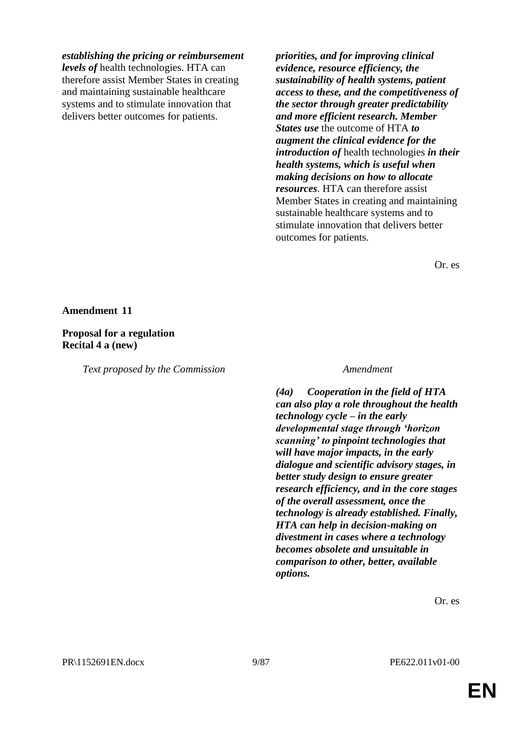#### *establishing the pricing or reimbursement*

*levels of* health technologies. HTA can therefore assist Member States in creating and maintaining sustainable healthcare systems and to stimulate innovation that delivers better outcomes for patients.

*priorities, and for improving clinical evidence, resource efficiency, the sustainability of health systems, patient access to these, and the competitiveness of the sector through greater predictability and more efficient research. Member States use* the outcome of HTA *to augment the clinical evidence for the introduction of* health technologies *in their health systems, which is useful when making decisions on how to allocate resources*. HTA can therefore assist Member States in creating and maintaining sustainable healthcare systems and to stimulate innovation that delivers better outcomes for patients.

Or. es

#### **Amendment 11**

#### **Proposal for a regulation Recital 4 a (new)**

*Text proposed by the Commission Amendment*

*(4a) Cooperation in the field of HTA can also play a role throughout the health technology cycle – in the early developmental stage through 'horizon scanning' to pinpoint technologies that will have major impacts, in the early dialogue and scientific advisory stages, in better study design to ensure greater research efficiency, and in the core stages of the overall assessment, once the technology is already established. Finally, HTA can help in decision-making on divestment in cases where a technology becomes obsolete and unsuitable in comparison to other, better, available options.*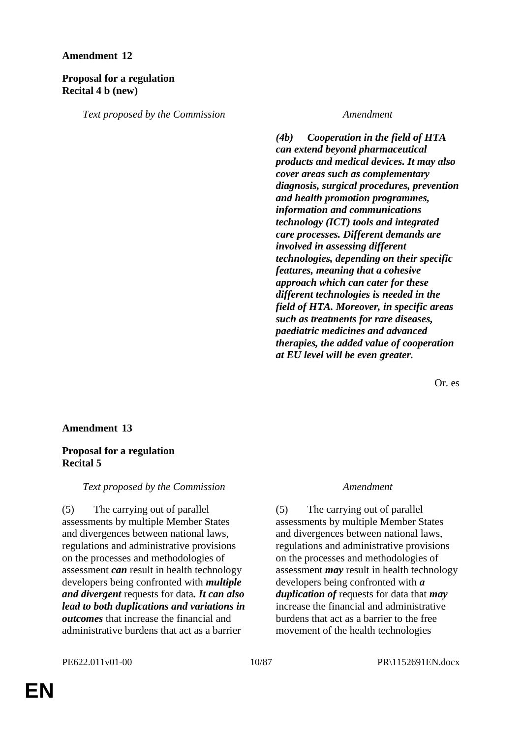### **Proposal for a regulation Recital 4 b (new)**

*Text proposed by the Commission Amendment*

*(4b) Cooperation in the field of HTA can extend beyond pharmaceutical products and medical devices. It may also cover areas such as complementary diagnosis, surgical procedures, prevention and health promotion programmes, information and communications technology (ICT) tools and integrated care processes. Different demands are involved in assessing different technologies, depending on their specific features, meaning that a cohesive approach which can cater for these different technologies is needed in the field of HTA. Moreover, in specific areas such as treatments for rare diseases, paediatric medicines and advanced therapies, the added value of cooperation at EU level will be even greater.*

Or. es

### **Amendment 13**

### **Proposal for a regulation Recital 5**

### *Text proposed by the Commission Amendment*

(5) The carrying out of parallel assessments by multiple Member States and divergences between national laws, regulations and administrative provisions on the processes and methodologies of assessment *can* result in health technology developers being confronted with *multiple and divergent* requests for data*. It can also lead to both duplications and variations in outcomes* that increase the financial and administrative burdens that act as a barrier

(5) The carrying out of parallel assessments by multiple Member States and divergences between national laws, regulations and administrative provisions on the processes and methodologies of assessment *may* result in health technology developers being confronted with *a duplication of* requests for data that *may* increase the financial and administrative burdens that act as a barrier to the free movement of the health technologies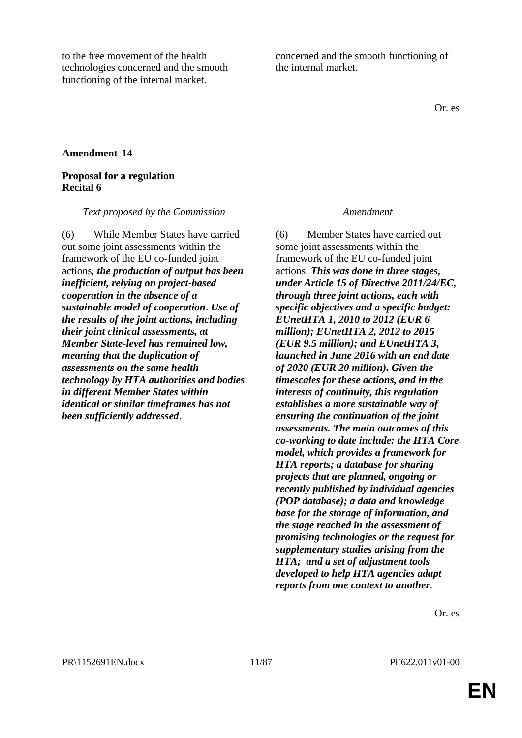to the free movement of the health technologies concerned and the smooth functioning of the internal market.

concerned and the smooth functioning of the internal market.

Or. es

### **Amendment 14**

#### **Proposal for a regulation Recital 6**

*Text proposed by the Commission Amendment*

(6) While Member States have carried out some joint assessments within the framework of the EU co-funded joint actions*, the production of output has been inefficient, relying on project-based cooperation in the absence of a sustainable model of cooperation*. *Use of the results of the joint actions, including their joint clinical assessments, at Member State-level has remained low, meaning that the duplication of assessments on the same health technology by HTA authorities and bodies in different Member States within identical or similar timeframes has not been sufficiently addressed*.

(6) Member States have carried out some joint assessments within the framework of the EU co-funded joint actions. *This was done in three stages, under Article 15 of Directive 2011/24/EC, through three joint actions, each with specific objectives and a specific budget: EUnetHTA 1, 2010 to 2012 (EUR 6 million); EUnetHTA 2, 2012 to 2015 (EUR 9.5 million); and EUnetHTA 3, launched in June 2016 with an end date of 2020 (EUR 20 million). Given the timescales for these actions, and in the interests of continuity, this regulation establishes a more sustainable way of ensuring the continuation of the joint assessments. The main outcomes of this co-working to date include: the HTA Core model, which provides a framework for HTA reports; a database for sharing projects that are planned, ongoing or recently published by individual agencies (POP database); a data and knowledge base for the storage of information, and the stage reached in the assessment of promising technologies or the request for supplementary studies arising from the HTA; and a set of adjustment tools developed to help HTA agencies adapt reports from one context to another*.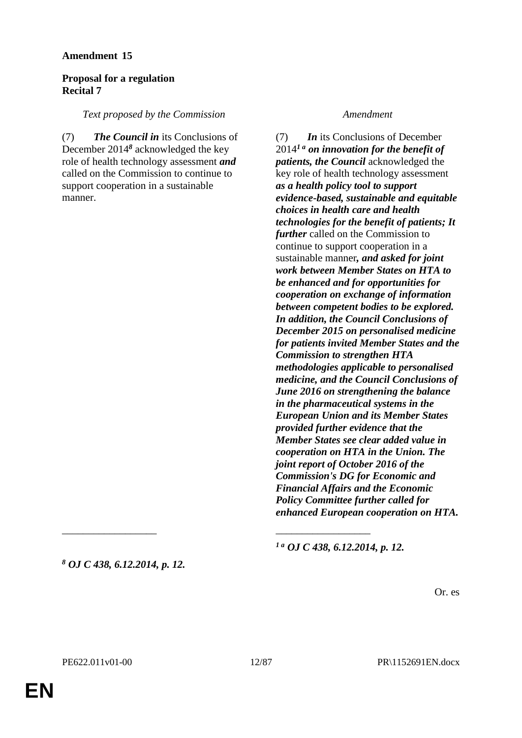### **Proposal for a regulation Recital 7**

### *Text proposed by the Commission Amendment*

(7) *The Council in* its Conclusions of December 2014*<sup>8</sup>* acknowledged the key role of health technology assessment *and* called on the Commission to continue to support cooperation in a sustainable manner.

(7) *In* its Conclusions of December 2014*1 a on innovation for the benefit of patients, the Council* acknowledged the key role of health technology assessment *as a health policy tool to support evidence-based, sustainable and equitable choices in health care and health technologies for the benefit of patients; It further* called on the Commission to continue to support cooperation in a sustainable manner*, and asked for joint work between Member States on HTA to be enhanced and for opportunities for cooperation on exchange of information between competent bodies to be explored. In addition, the Council Conclusions of December 2015 on personalised medicine for patients invited Member States and the Commission to strengthen HTA methodologies applicable to personalised medicine, and the Council Conclusions of June 2016 on strengthening the balance in the pharmaceutical systems in the European Union and its Member States provided further evidence that the Member States see clear added value in cooperation on HTA in the Union. The joint report of October 2016 of the Commission's DG for Economic and Financial Affairs and the Economic Policy Committee further called for enhanced European cooperation on HTA.*

*<sup>8</sup> OJ C 438, 6.12.2014, p. 12.*

*1 a OJ C 438, 6.12.2014, p. 12.*

Or. es

\_\_\_\_\_\_\_\_\_\_\_\_\_\_\_\_\_\_ \_\_\_\_\_\_\_\_\_\_\_\_\_\_\_\_\_\_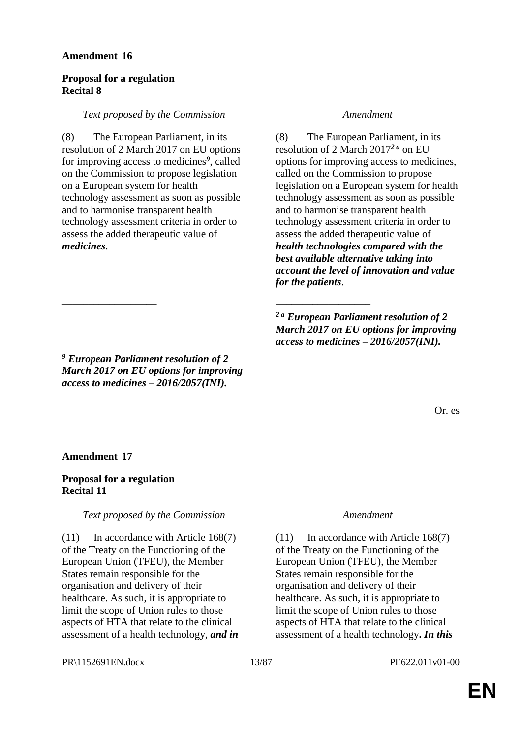### **Proposal for a regulation Recital 8**

#### *Text proposed by the Commission Amendment*

(8) The European Parliament, in its resolution of 2 March 2017 on EU options for improving access to medicines*<sup>9</sup>* , called on the Commission to propose legislation on a European system for health technology assessment as soon as possible and to harmonise transparent health technology assessment criteria in order to assess the added therapeutic value of *medicines*.

\_\_\_\_\_\_\_\_\_\_\_\_\_\_\_\_\_\_ \_\_\_\_\_\_\_\_\_\_\_\_\_\_\_\_\_\_

(8) The European Parliament, in its resolution of 2 March 2017*2 a* on EU options for improving access to medicines, called on the Commission to propose legislation on a European system for health technology assessment as soon as possible and to harmonise transparent health technology assessment criteria in order to assess the added therapeutic value of *health technologies compared with the best available alternative taking into account the level of innovation and value for the patients*.

*2 a European Parliament resolution of 2 March 2017 on EU options for improving access to medicines – 2016/2057(INI).*

Or. es

*<sup>9</sup> European Parliament resolution of 2 March 2017 on EU options for improving access to medicines – 2016/2057(INI).*

### **Amendment 17**

#### **Proposal for a regulation Recital 11**

### *Text proposed by the Commission Amendment*

(11) In accordance with Article 168(7) of the Treaty on the Functioning of the European Union (TFEU), the Member States remain responsible for the organisation and delivery of their healthcare. As such, it is appropriate to limit the scope of Union rules to those aspects of HTA that relate to the clinical assessment of a health technology, *and in* 

(11) In accordance with Article 168(7) of the Treaty on the Functioning of the European Union (TFEU), the Member States remain responsible for the organisation and delivery of their healthcare. As such, it is appropriate to limit the scope of Union rules to those aspects of HTA that relate to the clinical assessment of a health technology**.** *In this* 

#### PR\1152691EN.docx 13/87 PE622.011v01-00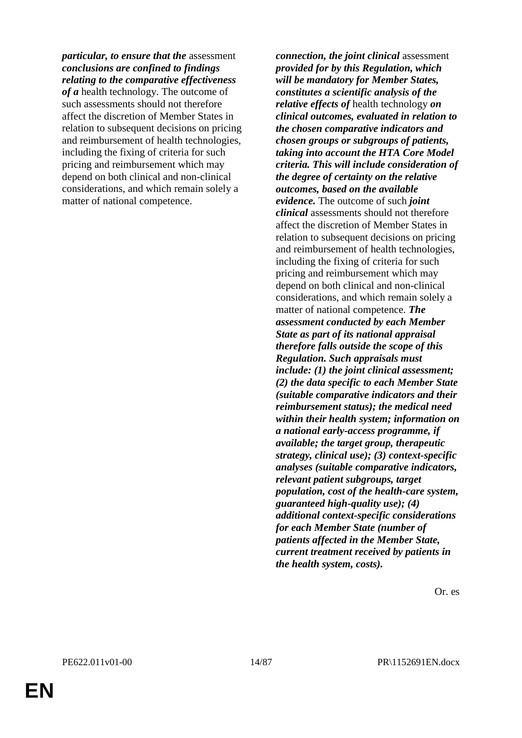*particular, to ensure that the* assessment *conclusions are confined to findings relating to the comparative effectiveness* 

*of a* health technology. The outcome of such assessments should not therefore affect the discretion of Member States in relation to subsequent decisions on pricing and reimbursement of health technologies, including the fixing of criteria for such pricing and reimbursement which may depend on both clinical and non-clinical considerations, and which remain solely a matter of national competence.

*connection, the joint clinical* assessment *provided for by this Regulation, which will be mandatory for Member States, constitutes a scientific analysis of the relative effects of* health technology *on clinical outcomes, evaluated in relation to the chosen comparative indicators and chosen groups or subgroups of patients, taking into account the HTA Core Model criteria. This will include consideration of the degree of certainty on the relative outcomes, based on the available evidence.* The outcome of such *joint clinical* assessments should not therefore affect the discretion of Member States in relation to subsequent decisions on pricing and reimbursement of health technologies, including the fixing of criteria for such pricing and reimbursement which may depend on both clinical and non-clinical considerations, and which remain solely a matter of national competence. *The assessment conducted by each Member State as part of its national appraisal therefore falls outside the scope of this Regulation. Such appraisals must include: (1) the joint clinical assessment; (2) the data specific to each Member State (suitable comparative indicators and their reimbursement status); the medical need within their health system; information on a national early-access programme, if available; the target group, therapeutic strategy, clinical use); (3) context-specific analyses (suitable comparative indicators, relevant patient subgroups, target population, cost of the health-care system, guaranteed high-quality use); (4) additional context-specific considerations for each Member State (number of patients affected in the Member State, current treatment received by patients in the health system, costs).*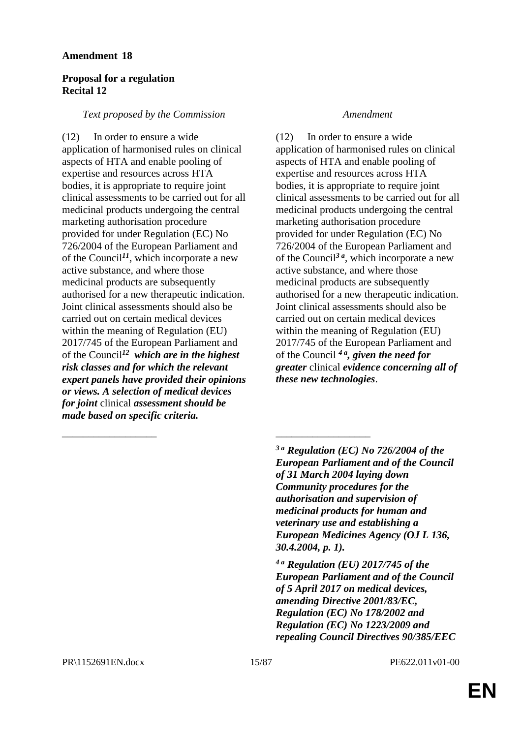### **Proposal for a regulation Recital 12**

### *Text proposed by the Commission Amendment*

(12) In order to ensure a wide application of harmonised rules on clinical aspects of HTA and enable pooling of expertise and resources across HTA bodies, it is appropriate to require joint clinical assessments to be carried out for all medicinal products undergoing the central marketing authorisation procedure provided for under Regulation (EC) No 726/2004 of the European Parliament and of the Council*<sup>11</sup>*, which incorporate a new active substance, and where those medicinal products are subsequently authorised for a new therapeutic indication. Joint clinical assessments should also be carried out on certain medical devices within the meaning of Regulation (EU) 2017/745 of the European Parliament and of the Council*<sup>12</sup> which are in the highest risk classes and for which the relevant expert panels have provided their opinions or views. A selection of medical devices for joint* clinical *assessment should be made based on specific criteria.*

(12) In order to ensure a wide application of harmonised rules on clinical aspects of HTA and enable pooling of expertise and resources across HTA bodies, it is appropriate to require joint clinical assessments to be carried out for all medicinal products undergoing the central marketing authorisation procedure provided for under Regulation (EC) No 726/2004 of the European Parliament and of the Council*3 a*, which incorporate a new active substance, and where those medicinal products are subsequently authorised for a new therapeutic indication. Joint clinical assessments should also be carried out on certain medical devices within the meaning of Regulation (EU) 2017/745 of the European Parliament and of the Council *4 a, given the need for greater* clinical *evidence concerning all of these new technologies*.

*3 a Regulation (EC) No 726/2004 of the European Parliament and of the Council of 31 March 2004 laying down Community procedures for the authorisation and supervision of medicinal products for human and veterinary use and establishing a European Medicines Agency (OJ L 136, 30.4.2004, p. 1).* 

*4 a Regulation (EU) 2017/745 of the European Parliament and of the Council of 5 April 2017 on medical devices, amending Directive 2001/83/EC, Regulation (EC) No 178/2002 and Regulation (EC) No 1223/2009 and repealing Council Directives 90/385/EEC* 

\_\_\_\_\_\_\_\_\_\_\_\_\_\_\_\_\_\_ \_\_\_\_\_\_\_\_\_\_\_\_\_\_\_\_\_\_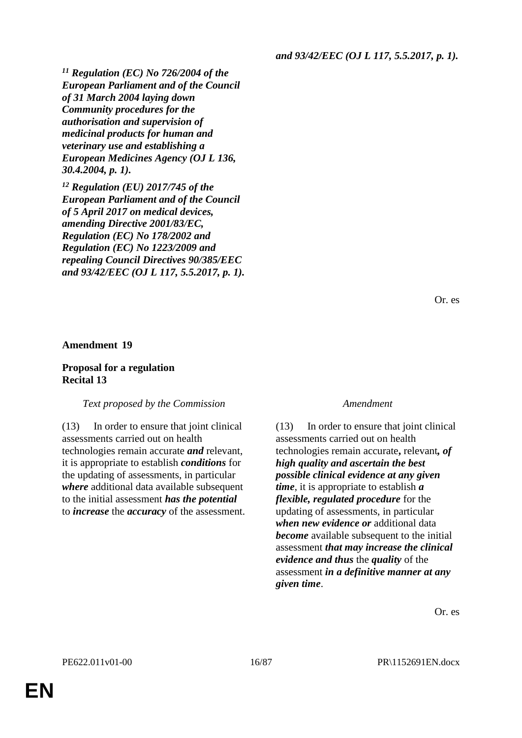*and 93/42/EEC (OJ L 117, 5.5.2017, p. 1).*

*<sup>11</sup> Regulation (EC) No 726/2004 of the European Parliament and of the Council of 31 March 2004 laying down Community procedures for the authorisation and supervision of medicinal products for human and veterinary use and establishing a European Medicines Agency (OJ L 136, 30.4.2004, p. 1).*

*<sup>12</sup> Regulation (EU) 2017/745 of the European Parliament and of the Council of 5 April 2017 on medical devices, amending Directive 2001/83/EC, Regulation (EC) No 178/2002 and Regulation (EC) No 1223/2009 and repealing Council Directives 90/385/EEC and 93/42/EEC (OJ L 117, 5.5.2017, p. 1).*

Or. es

#### **Amendment 19**

### **Proposal for a regulation Recital 13**

#### *Text proposed by the Commission Amendment*

(13) In order to ensure that joint clinical assessments carried out on health technologies remain accurate *and* relevant, it is appropriate to establish *conditions* for the updating of assessments, in particular *where* additional data available subsequent to the initial assessment *has the potential* to *increase* the *accuracy* of the assessment.

(13) In order to ensure that joint clinical assessments carried out on health technologies remain accurate**,** relevant*, of high quality and ascertain the best possible clinical evidence at any given time*, it is appropriate to establish *a flexible, regulated procedure* for the updating of assessments, in particular *when new evidence or* additional data *become* available subsequent to the initial assessment *that may increase the clinical evidence and thus* the *quality* of the assessment *in a definitive manner at any given time*.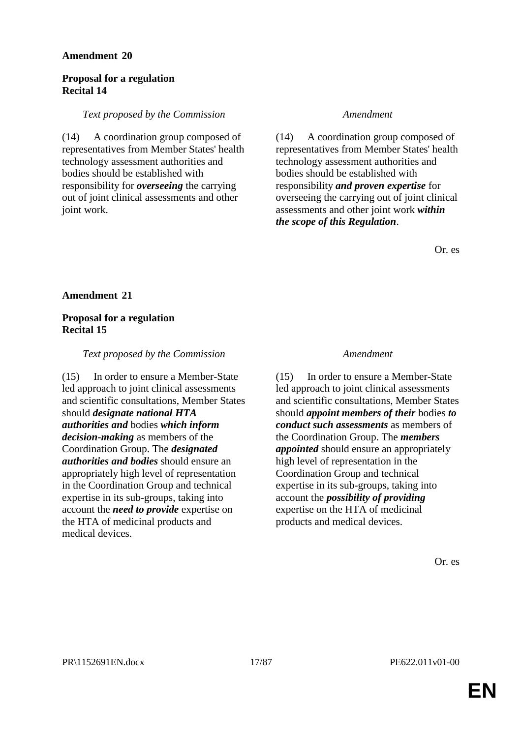### **Proposal for a regulation Recital 14**

#### *Text proposed by the Commission Amendment*

(14) A coordination group composed of representatives from Member States' health technology assessment authorities and bodies should be established with responsibility for *overseeing* the carrying out of joint clinical assessments and other joint work.

(14) A coordination group composed of representatives from Member States' health technology assessment authorities and bodies should be established with responsibility *and proven expertise* for overseeing the carrying out of joint clinical assessments and other joint work *within the scope of this Regulation*.

Or. es

**Amendment 21**

### **Proposal for a regulation Recital 15**

### *Text proposed by the Commission Amendment*

(15) In order to ensure a Member-State led approach to joint clinical assessments and scientific consultations, Member States should *designate national HTA authorities and* bodies *which inform decision-making* as members of the Coordination Group. The *designated authorities and bodies* should ensure an appropriately high level of representation in the Coordination Group and technical expertise in its sub-groups, taking into account the *need to provide* expertise on the HTA of medicinal products and medical devices.

(15) In order to ensure a Member-State led approach to joint clinical assessments and scientific consultations, Member States should *appoint members of their* bodies *to conduct such assessments* as members of the Coordination Group. The *members appointed* should ensure an appropriately high level of representation in the Coordination Group and technical expertise in its sub-groups, taking into account the *possibility of providing* expertise on the HTA of medicinal products and medical devices.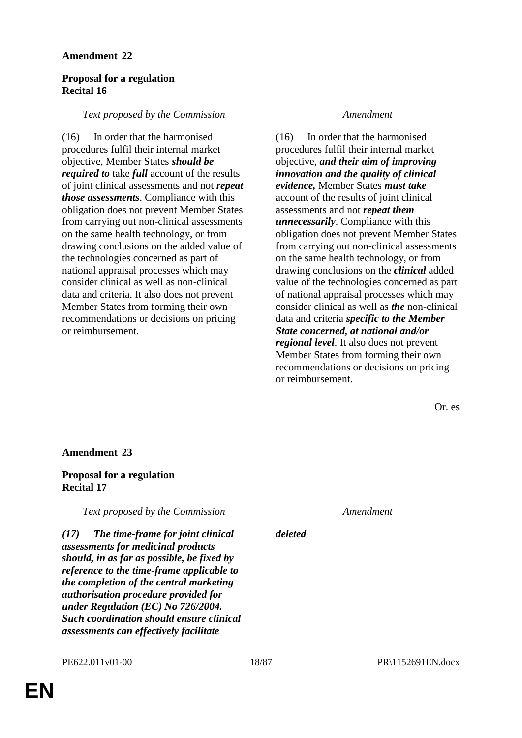### **Proposal for a regulation Recital 16**

#### *Text proposed by the Commission Amendment*

(16) In order that the harmonised procedures fulfil their internal market objective, Member States *should be required to* take *full* account of the results of joint clinical assessments and not *repeat those assessments*. Compliance with this obligation does not prevent Member States from carrying out non-clinical assessments on the same health technology, or from drawing conclusions on the added value of the technologies concerned as part of national appraisal processes which may consider clinical as well as non-clinical data and criteria. It also does not prevent Member States from forming their own recommendations or decisions on pricing or reimbursement.

(16) In order that the harmonised procedures fulfil their internal market objective, *and their aim of improving innovation and the quality of clinical evidence,* Member States *must take* account of the results of joint clinical assessments and not *repeat them unnecessarily*. Compliance with this obligation does not prevent Member States from carrying out non-clinical assessments on the same health technology, or from drawing conclusions on the *clinical* added value of the technologies concerned as part of national appraisal processes which may consider clinical as well as *the* non-clinical data and criteria *specific to the Member State concerned, at national and/or regional level*. It also does not prevent Member States from forming their own recommendations or decisions on pricing or reimbursement.

Or. es

#### **Amendment 23**

### **Proposal for a regulation Recital 17**

*Text proposed by the Commission Amendment*

*deleted*

*(17) The time-frame for joint clinical assessments for medicinal products should, in as far as possible, be fixed by reference to the time-frame applicable to the completion of the central marketing authorisation procedure provided for under Regulation (EC) No 726/2004. Such coordination should ensure clinical assessments can effectively facilitate*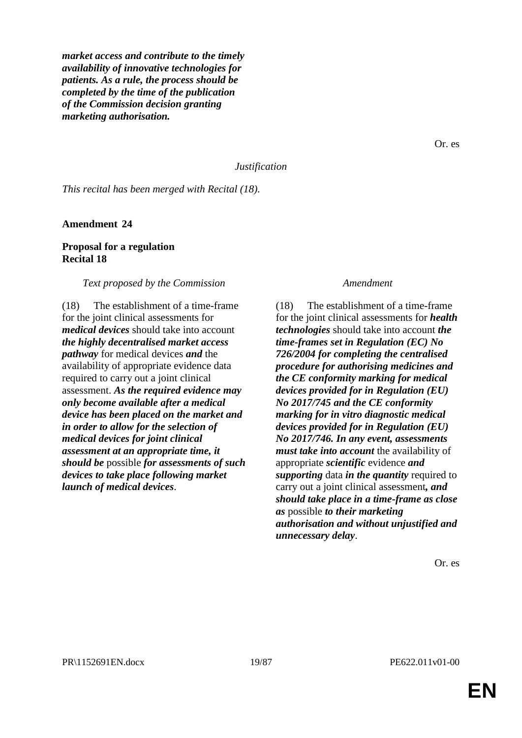*market access and contribute to the timely availability of innovative technologies for patients. As a rule, the process should be completed by the time of the publication of the Commission decision granting marketing authorisation.*

Or. es

#### *Justification*

*This recital has been merged with Recital (18).*

**Amendment 24**

### **Proposal for a regulation Recital 18**

#### *Text proposed by the Commission Amendment*

(18) The establishment of a time-frame for the joint clinical assessments for *medical devices* should take into account *the highly decentralised market access pathway* for medical devices *and* the availability of appropriate evidence data required to carry out a joint clinical assessment. *As the required evidence may only become available after a medical device has been placed on the market and in order to allow for the selection of medical devices for joint clinical assessment at an appropriate time, it should be* possible *for assessments of such devices to take place following market launch of medical devices*.

(18) The establishment of a time-frame for the joint clinical assessments for *health technologies* should take into account *the time-frames set in Regulation (EC) No 726/2004 for completing the centralised procedure for authorising medicines and the CE conformity marking for medical devices provided for in Regulation (EU) No 2017/745 and the CE conformity marking for in vitro diagnostic medical devices provided for in Regulation (EU) No 2017/746. In any event, assessments must take into account* the availability of appropriate *scientific* evidence *and supporting* data *in the quantity* required to carry out a joint clinical assessment*, and should take place in a time-frame as close as* possible *to their marketing authorisation and without unjustified and unnecessary delay*.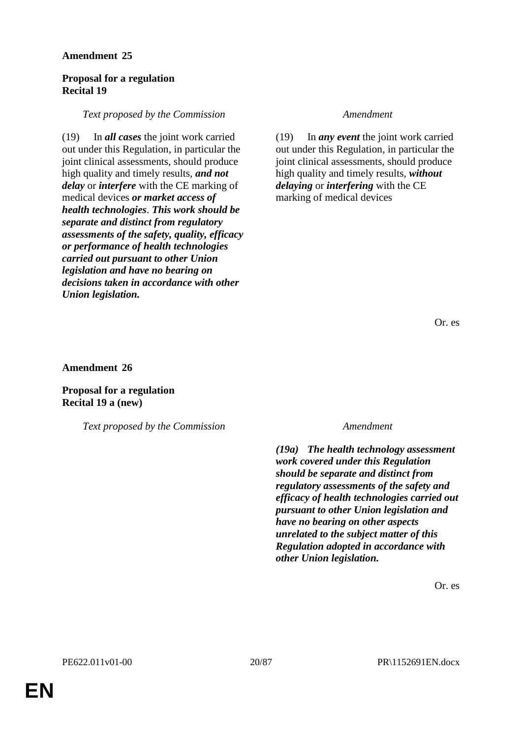### **Proposal for a regulation Recital 19**

#### *Text proposed by the Commission Amendment*

(19) In *all cases* the joint work carried out under this Regulation, in particular the joint clinical assessments, should produce high quality and timely results, *and not delay* or *interfere* with the CE marking of medical devices *or market access of health technologies*. *This work should be separate and distinct from regulatory assessments of the safety, quality, efficacy or performance of health technologies carried out pursuant to other Union legislation and have no bearing on decisions taken in accordance with other Union legislation.*

(19) In *any event* the joint work carried out under this Regulation, in particular the joint clinical assessments, should produce high quality and timely results, *without delaying* or *interfering* with the CE marking of medical devices

Or. es

**Amendment 26**

**Proposal for a regulation Recital 19 a (new)**

*Text proposed by the Commission Amendment*

*(19a) The health technology assessment work covered under this Regulation should be separate and distinct from regulatory assessments of the safety and efficacy of health technologies carried out pursuant to other Union legislation and have no bearing on other aspects unrelated to the subject matter of this Regulation adopted in accordance with other Union legislation.*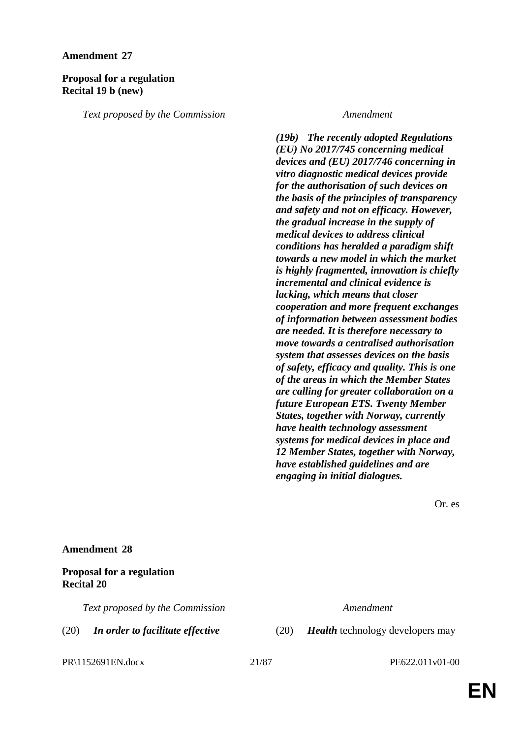#### **Proposal for a regulation Recital 19 b (new)**

*Text proposed by the Commission Amendment*

*(19b) The recently adopted Regulations (EU) No 2017/745 concerning medical devices and (EU) 2017/746 concerning in vitro diagnostic medical devices provide for the authorisation of such devices on the basis of the principles of transparency and safety and not on efficacy. However, the gradual increase in the supply of medical devices to address clinical conditions has heralded a paradigm shift towards a new model in which the market is highly fragmented, innovation is chiefly incremental and clinical evidence is lacking, which means that closer cooperation and more frequent exchanges of information between assessment bodies are needed. It is therefore necessary to move towards a centralised authorisation system that assesses devices on the basis of safety, efficacy and quality. This is one of the areas in which the Member States are calling for greater collaboration on a future European ETS. Twenty Member States, together with Norway, currently have health technology assessment systems for medical devices in place and 12 Member States, together with Norway, have established guidelines and are engaging in initial dialogues.*

Or. es

#### **Amendment 28**

#### **Proposal for a regulation Recital 20**

*Text proposed by the Commission Amendment*

(20) *In order to facilitate effective* (20) *Health* technology developers may

PR\1152691EN.docx 21/87 PE622.011v01-00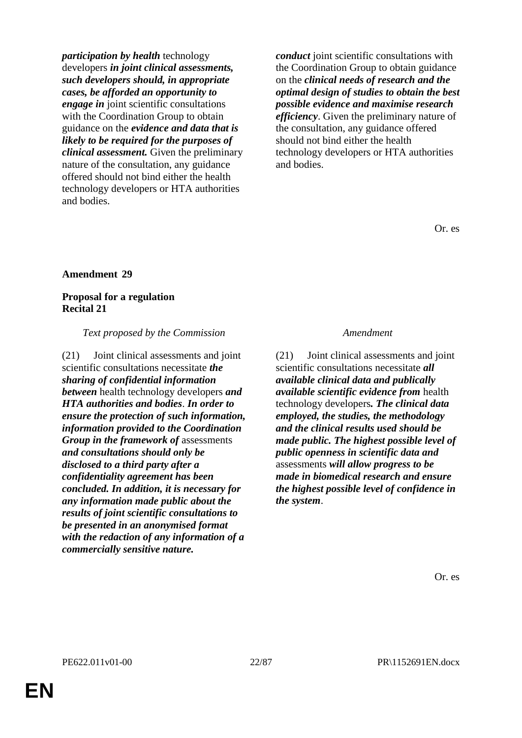*participation by health* technology developers *in joint clinical assessments, such developers should, in appropriate cases, be afforded an opportunity to engage in* joint scientific consultations with the Coordination Group to obtain guidance on the *evidence and data that is likely to be required for the purposes of clinical assessment.* Given the preliminary nature of the consultation, any guidance offered should not bind either the health technology developers or HTA authorities and bodies.

*conduct* joint scientific consultations with the Coordination Group to obtain guidance on the *clinical needs of research and the optimal design of studies to obtain the best possible evidence and maximise research efficiency*. Given the preliminary nature of the consultation, any guidance offered should not bind either the health technology developers or HTA authorities and bodies.

Or. es

#### **Amendment 29**

#### **Proposal for a regulation Recital 21**

*Text proposed by the Commission Amendment*

(21) Joint clinical assessments and joint scientific consultations necessitate *the sharing of confidential information between* health technology developers *and HTA authorities and bodies*. *In order to ensure the protection of such information, information provided to the Coordination Group in the framework of* assessments *and consultations should only be disclosed to a third party after a confidentiality agreement has been concluded. In addition, it is necessary for any information made public about the results of joint scientific consultations to be presented in an anonymised format with the redaction of any information of a commercially sensitive nature.*

(21) Joint clinical assessments and joint scientific consultations necessitate *all available clinical data and publically available scientific evidence from* health technology developers*. The clinical data employed, the studies, the methodology and the clinical results used should be made public. The highest possible level of public openness in scientific data and* assessments *will allow progress to be made in biomedical research and ensure the highest possible level of confidence in the system*.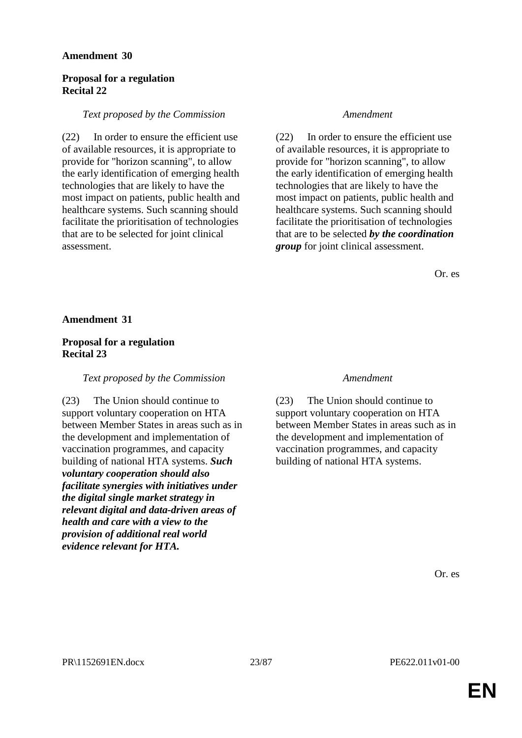### **Proposal for a regulation Recital 22**

### *Text proposed by the Commission Amendment*

(22) In order to ensure the efficient use of available resources, it is appropriate to provide for "horizon scanning", to allow the early identification of emerging health technologies that are likely to have the most impact on patients, public health and healthcare systems. Such scanning should facilitate the prioritisation of technologies that are to be selected for joint clinical assessment.

(22) In order to ensure the efficient use of available resources, it is appropriate to provide for "horizon scanning", to allow the early identification of emerging health technologies that are likely to have the most impact on patients, public health and healthcare systems. Such scanning should facilitate the prioritisation of technologies that are to be selected *by the coordination group* for joint clinical assessment.

Or. es

#### **Amendment 31**

### **Proposal for a regulation Recital 23**

### *Text proposed by the Commission Amendment*

(23) The Union should continue to support voluntary cooperation on HTA between Member States in areas such as in the development and implementation of vaccination programmes, and capacity building of national HTA systems. *Such voluntary cooperation should also facilitate synergies with initiatives under the digital single market strategy in relevant digital and data-driven areas of health and care with a view to the provision of additional real world evidence relevant for HTA.*

(23) The Union should continue to support voluntary cooperation on HTA between Member States in areas such as in the development and implementation of vaccination programmes, and capacity building of national HTA systems.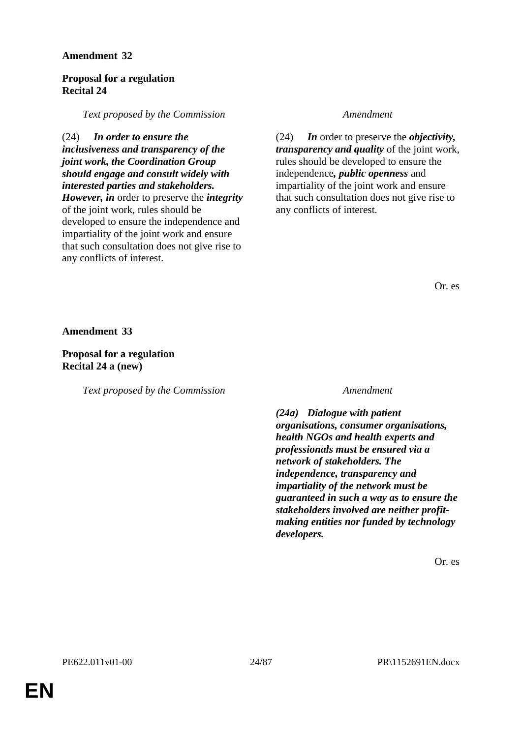### **Proposal for a regulation Recital 24**

*Text proposed by the Commission Amendment*

(24) *In order to ensure the inclusiveness and transparency of the joint work, the Coordination Group should engage and consult widely with interested parties and stakeholders. However, in* order to preserve the *integrity* of the joint work, rules should be developed to ensure the independence and impartiality of the joint work and ensure that such consultation does not give rise to any conflicts of interest.

(24) *In* order to preserve the *objectivity, transparency and quality* of the joint work, rules should be developed to ensure the independence*, public openness* and impartiality of the joint work and ensure that such consultation does not give rise to any conflicts of interest.

Or. es

**Amendment 33**

**Proposal for a regulation Recital 24 a (new)**

*Text proposed by the Commission Amendment*

*(24a) Dialogue with patient organisations, consumer organisations, health NGOs and health experts and professionals must be ensured via a network of stakeholders. The independence, transparency and impartiality of the network must be guaranteed in such a way as to ensure the stakeholders involved are neither profitmaking entities nor funded by technology developers.*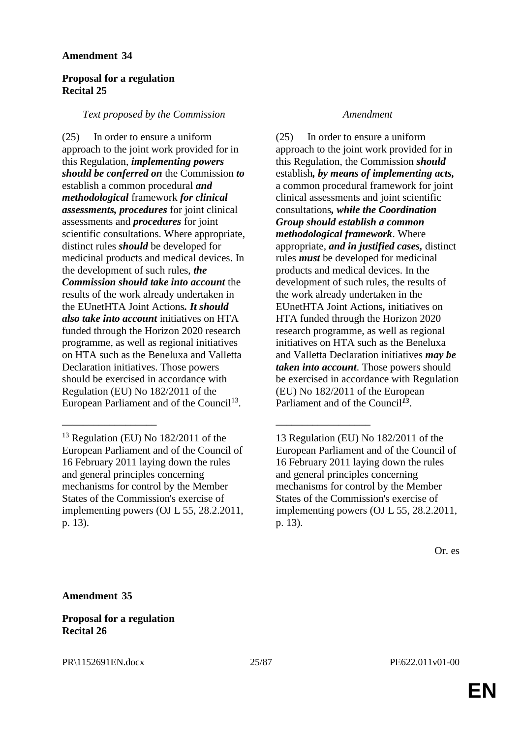### **Proposal for a regulation Recital 25**

### *Text proposed by the Commission Amendment*

(25) In order to ensure a uniform approach to the joint work provided for in this Regulation, *implementing powers should be conferred on* the Commission *to* establish a common procedural *and methodological* framework *for clinical assessments, procedures* for joint clinical assessments and *procedures* for joint scientific consultations. Where appropriate, distinct rules *should* be developed for medicinal products and medical devices. In the development of such rules, *the Commission should take into account* the results of the work already undertaken in the EUnetHTA Joint Actions*. It should also take into account* initiatives on HTA funded through the Horizon 2020 research programme, as well as regional initiatives on HTA such as the Beneluxa and Valletta Declaration initiatives. Those powers should be exercised in accordance with Regulation (EU) No 182/2011 of the European Parliament and of the Council<sup>13</sup>.

\_\_\_\_\_\_\_\_\_\_\_\_\_\_\_\_\_\_ \_\_\_\_\_\_\_\_\_\_\_\_\_\_\_\_\_\_

(25) In order to ensure a uniform approach to the joint work provided for in this Regulation, the Commission *should* establish*, by means of implementing acts,* a common procedural framework for joint clinical assessments and joint scientific consultations*, while the Coordination Group should establish a common methodological framework*. Where appropriate, *and in justified cases,* distinct rules *must* be developed for medicinal products and medical devices. In the development of such rules, the results of the work already undertaken in the EUnetHTA Joint Actions*,* initiatives on HTA funded through the Horizon 2020 research programme, as well as regional initiatives on HTA such as the Beneluxa and Valletta Declaration initiatives *may be taken into account*. Those powers should be exercised in accordance with Regulation (EU) No 182/2011 of the European Parliament and of the Council*<sup>13</sup>* .

**Amendment 35**

**Proposal for a regulation Recital 26**

 $13$  Regulation (EU) No  $182/2011$  of the European Parliament and of the Council of 16 February 2011 laying down the rules and general principles concerning mechanisms for control by the Member States of the Commission's exercise of implementing powers (OJ L 55, 28.2.2011, p. 13).

<sup>13</sup> Regulation (EU) No 182/2011 of the European Parliament and of the Council of 16 February 2011 laying down the rules and general principles concerning mechanisms for control by the Member States of the Commission's exercise of implementing powers (OJ L 55, 28.2.2011, p. 13).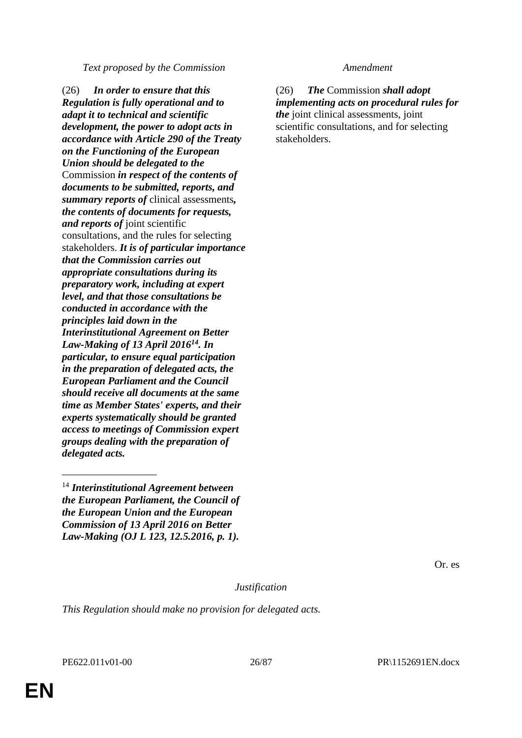*Text proposed by the Commission Amendment*

(26) *In order to ensure that this Regulation is fully operational and to adapt it to technical and scientific development, the power to adopt acts in accordance with Article 290 of the Treaty on the Functioning of the European Union should be delegated to the*  Commission *in respect of the contents of documents to be submitted, reports, and summary reports of* clinical assessments*, the contents of documents for requests, and reports of* joint scientific consultations, and the rules for selecting stakeholders. *It is of particular importance that the Commission carries out appropriate consultations during its preparatory work, including at expert level, and that those consultations be conducted in accordance with the principles laid down in the Interinstitutional Agreement on Better Law-Making of 13 April 2016<sup>14</sup>. In particular, to ensure equal participation in the preparation of delegated acts, the European Parliament and the Council should receive all documents at the same time as Member States' experts, and their experts systematically should be granted access to meetings of Commission expert groups dealing with the preparation of delegated acts.*

(26) *The* Commission *shall adopt implementing acts on procedural rules for the* joint clinical assessments, joint scientific consultations, and for selecting stakeholders.

Or. es

*Justification*

*This Regulation should make no provision for delegated acts.*

\_\_\_\_\_\_\_\_\_\_\_\_\_\_\_\_\_\_

<sup>14</sup> *Interinstitutional Agreement between the European Parliament, the Council of the European Union and the European Commission of 13 April 2016 on Better Law-Making (OJ L 123, 12.5.2016, p. 1).*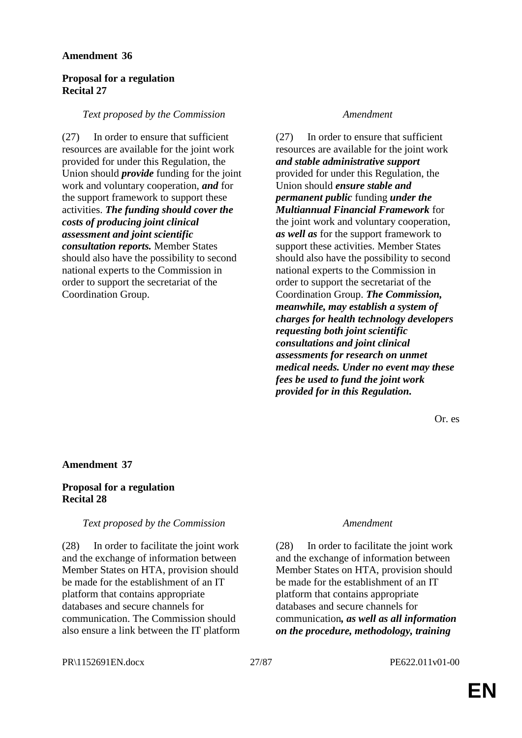### **Proposal for a regulation Recital 27**

#### *Text proposed by the Commission Amendment*

(27) In order to ensure that sufficient resources are available for the joint work provided for under this Regulation, the Union should *provide* funding for the joint work and voluntary cooperation, *and* for the support framework to support these activities. *The funding should cover the costs of producing joint clinical assessment and joint scientific consultation reports.* Member States should also have the possibility to second national experts to the Commission in order to support the secretariat of the Coordination Group.

(27) In order to ensure that sufficient resources are available for the joint work *and stable administrative support*  provided for under this Regulation, the Union should *ensure stable and permanent public* funding *under the Multiannual Financial Framework* for the joint work and voluntary cooperation, *as well as* for the support framework to support these activities. Member States should also have the possibility to second national experts to the Commission in order to support the secretariat of the Coordination Group. *The Commission, meanwhile, may establish a system of charges for health technology developers requesting both joint scientific consultations and joint clinical assessments for research on unmet medical needs. Under no event may these fees be used to fund the joint work provided for in this Regulation.*

Or. es

### **Amendment 37**

### **Proposal for a regulation Recital 28**

#### *Text proposed by the Commission Amendment*

(28) In order to facilitate the joint work and the exchange of information between Member States on HTA, provision should be made for the establishment of an IT platform that contains appropriate databases and secure channels for communication. The Commission should also ensure a link between the IT platform

(28) In order to facilitate the joint work and the exchange of information between Member States on HTA, provision should be made for the establishment of an IT platform that contains appropriate databases and secure channels for communication*, as well as all information on the procedure, methodology, training* 

PR\1152691EN.docx 27/87 PE622.011v01-00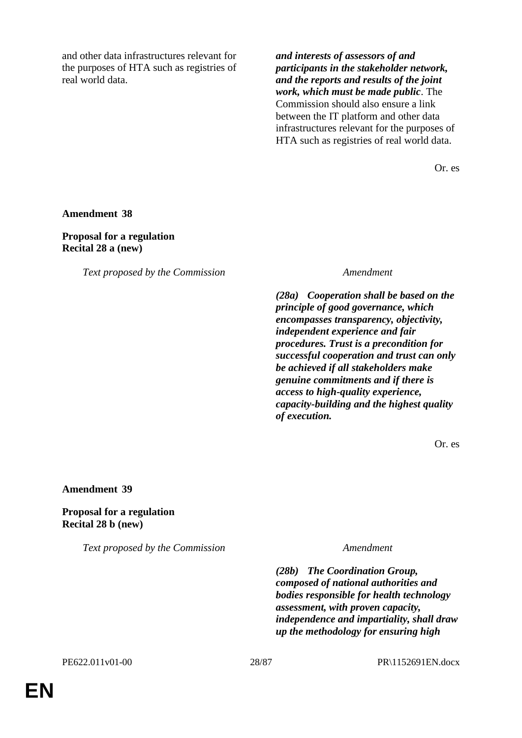and other data infrastructures relevant for the purposes of HTA such as registries of real world data.

*and interests of assessors of and participants in the stakeholder network, and the reports and results of the joint work, which must be made public*. The Commission should also ensure a link between the IT platform and other data infrastructures relevant for the purposes of HTA such as registries of real world data.

Or. es

**Amendment 38**

**Proposal for a regulation Recital 28 a (new)**

*Text proposed by the Commission Amendment*

*(28a) Cooperation shall be based on the principle of good governance, which encompasses transparency, objectivity, independent experience and fair procedures. Trust is a precondition for successful cooperation and trust can only be achieved if all stakeholders make genuine commitments and if there is access to high-quality experience, capacity-building and the highest quality of execution.*

Or. es

**Amendment 39**

**Proposal for a regulation Recital 28 b (new)**

*Text proposed by the Commission Amendment*

*(28b) The Coordination Group, composed of national authorities and bodies responsible for health technology assessment, with proven capacity, independence and impartiality, shall draw up the methodology for ensuring high*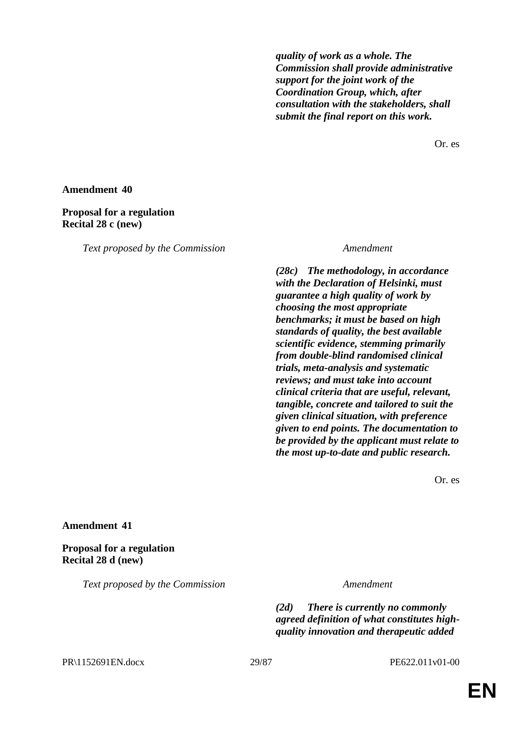*quality of work as a whole. The Commission shall provide administrative support for the joint work of the Coordination Group, which, after consultation with the stakeholders, shall submit the final report on this work.*

Or. es

#### **Amendment 40**

#### **Proposal for a regulation Recital 28 c (new)**

*Text proposed by the Commission Amendment*

*(28c) The methodology, in accordance with the Declaration of Helsinki, must guarantee a high quality of work by choosing the most appropriate benchmarks; it must be based on high standards of quality, the best available scientific evidence, stemming primarily from double-blind randomised clinical trials, meta-analysis and systematic reviews; and must take into account clinical criteria that are useful, relevant, tangible, concrete and tailored to suit the given clinical situation, with preference given to end points. The documentation to be provided by the applicant must relate to the most up-to-date and public research.*

Or. es

#### **Amendment 41**

**Proposal for a regulation Recital 28 d (new)**

*Text proposed by the Commission Amendment*

*(2d) There is currently no commonly agreed definition of what constitutes highquality innovation and therapeutic added* 

#### PR\1152691EN.docx 29/87 PE622.011v01-00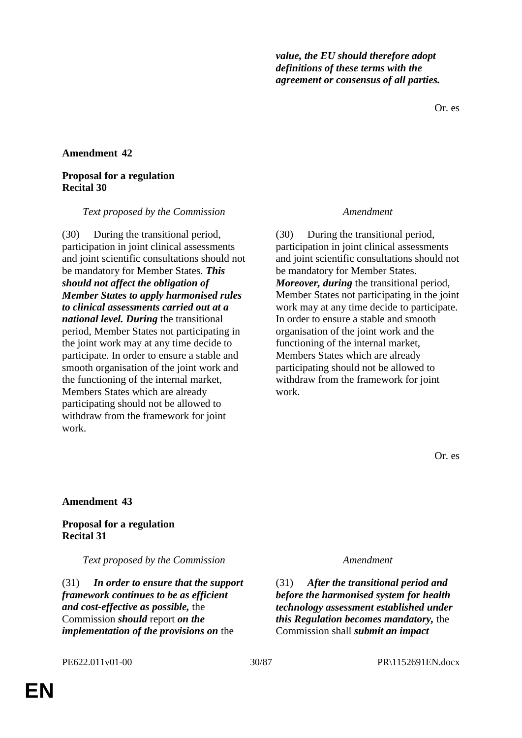*value, the EU should therefore adopt definitions of these terms with the agreement or consensus of all parties.*

Or. es

#### **Amendment 42**

#### **Proposal for a regulation Recital 30**

#### *Text proposed by the Commission Amendment*

(30) During the transitional period, participation in joint clinical assessments and joint scientific consultations should not be mandatory for Member States. *This should not affect the obligation of Member States to apply harmonised rules to clinical assessments carried out at a national level. During* the transitional period, Member States not participating in the joint work may at any time decide to participate. In order to ensure a stable and smooth organisation of the joint work and the functioning of the internal market, Members States which are already participating should not be allowed to withdraw from the framework for joint work.

(30) During the transitional period, participation in joint clinical assessments and joint scientific consultations should not be mandatory for Member States. *Moreover, during* the transitional period, Member States not participating in the joint work may at any time decide to participate. In order to ensure a stable and smooth organisation of the joint work and the functioning of the internal market, Members States which are already participating should not be allowed to withdraw from the framework for joint work.

Or. es

#### **Amendment 43**

#### **Proposal for a regulation Recital 31**

*Text proposed by the Commission Amendment*

(31) *In order to ensure that the support framework continues to be as efficient and cost-effective as possible,* the Commission *should* report *on the implementation of the provisions on* the

(31) *After the transitional period and before the harmonised system for health technology assessment established under this Regulation becomes mandatory,* the Commission shall *submit an impact*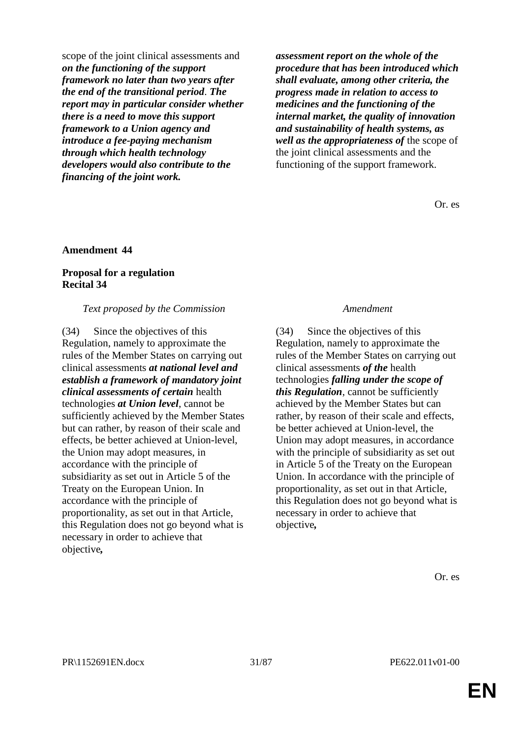scope of the joint clinical assessments and *on the functioning of the support framework no later than two years after the end of the transitional period*. *The report may in particular consider whether there is a need to move this support framework to a Union agency and introduce a fee-paying mechanism through which health technology developers would also contribute to the financing of the joint work.*

*assessment report on the whole of the procedure that has been introduced which shall evaluate, among other criteria, the progress made in relation to access to medicines and the functioning of the internal market, the quality of innovation and sustainability of health systems, as well as the appropriateness of* the scope of the joint clinical assessments and the functioning of the support framework.

Or. es

#### **Amendment 44**

### **Proposal for a regulation Recital 34**

#### *Text proposed by the Commission Amendment*

(34) Since the objectives of this Regulation, namely to approximate the rules of the Member States on carrying out clinical assessments *at national level and establish a framework of mandatory joint clinical assessments of certain* health technologies *at Union level*, cannot be sufficiently achieved by the Member States but can rather, by reason of their scale and effects, be better achieved at Union-level, the Union may adopt measures, in accordance with the principle of subsidiarity as set out in Article 5 of the Treaty on the European Union. In accordance with the principle of proportionality, as set out in that Article, this Regulation does not go beyond what is necessary in order to achieve that objective*,*

(34) Since the objectives of this Regulation, namely to approximate the rules of the Member States on carrying out clinical assessments *of the* health technologies *falling under the scope of this Regulation*, cannot be sufficiently achieved by the Member States but can rather, by reason of their scale and effects, be better achieved at Union-level, the Union may adopt measures, in accordance with the principle of subsidiarity as set out in Article 5 of the Treaty on the European Union. In accordance with the principle of proportionality, as set out in that Article, this Regulation does not go beyond what is necessary in order to achieve that objective*,*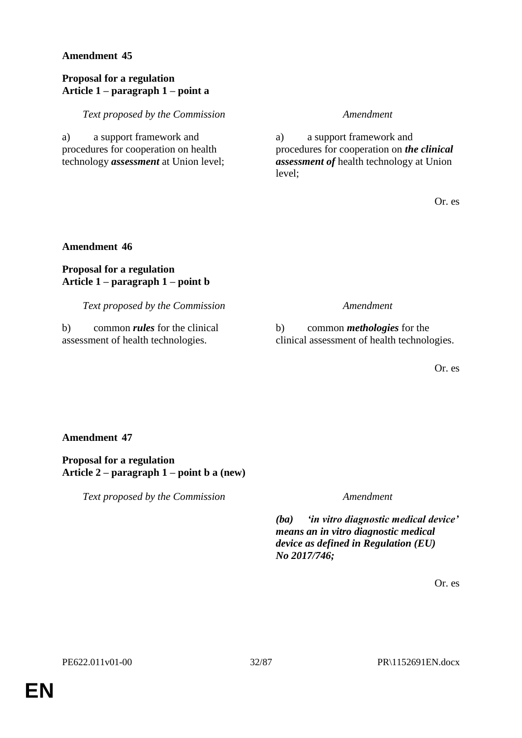### **Proposal for a regulation Article 1 – paragraph 1 – point a**

*Text proposed by the Commission Amendment*

a) a support framework and procedures for cooperation on health technology *assessment* at Union level;

a) a support framework and procedures for cooperation on *the clinical assessment of* health technology at Union level;

Or. es

#### **Amendment 46**

### **Proposal for a regulation Article 1 – paragraph 1 – point b**

*Text proposed by the Commission Amendment*

b) common *rules* for the clinical assessment of health technologies.

b) common *methologies* for the clinical assessment of health technologies.

Or. es

### **Amendment 47**

**Proposal for a regulation Article 2 – paragraph 1 – point b a (new)**

*Text proposed by the Commission Amendment*

*(ba) 'in vitro diagnostic medical device' means an in vitro diagnostic medical device as defined in Regulation (EU) No 2017/746;*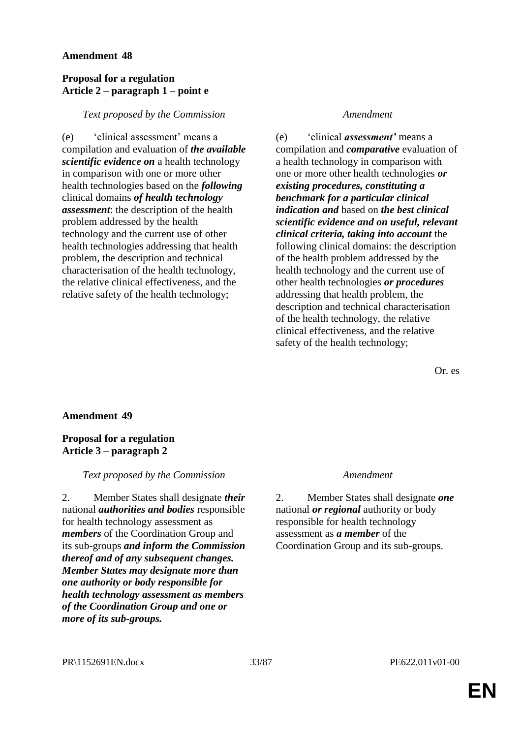### **Proposal for a regulation Article 2 – paragraph 1 – point e**

### *Text proposed by the Commission Amendment*

(e) 'clinical assessment' means a compilation and evaluation of *the available scientific evidence on* a health technology in comparison with one or more other health technologies based on the *following* clinical domains *of health technology assessment*: the description of the health problem addressed by the health technology and the current use of other health technologies addressing that health problem, the description and technical characterisation of the health technology, the relative clinical effectiveness, and the relative safety of the health technology;

(e) 'clinical *assessment'* means a compilation and *comparative* evaluation of a health technology in comparison with one or more other health technologies *or existing procedures, constituting a benchmark for a particular clinical indication and* based on *the best clinical scientific evidence and on useful, relevant clinical criteria, taking into account* the following clinical domains: the description of the health problem addressed by the health technology and the current use of other health technologies *or procedures* addressing that health problem, the description and technical characterisation of the health technology, the relative clinical effectiveness, and the relative safety of the health technology;

Or. es

### **Amendment 49**

### **Proposal for a regulation Article 3 – paragraph 2**

### *Text proposed by the Commission Amendment*

2. Member States shall designate *their* national *authorities and bodies* responsible for health technology assessment as *members* of the Coordination Group and its sub-groups *and inform the Commission thereof and of any subsequent changes. Member States may designate more than one authority or body responsible for health technology assessment as members of the Coordination Group and one or more of its sub-groups.*

2. Member States shall designate *one* national *or regional* authority or body responsible for health technology assessment as *a member* of the Coordination Group and its sub-groups.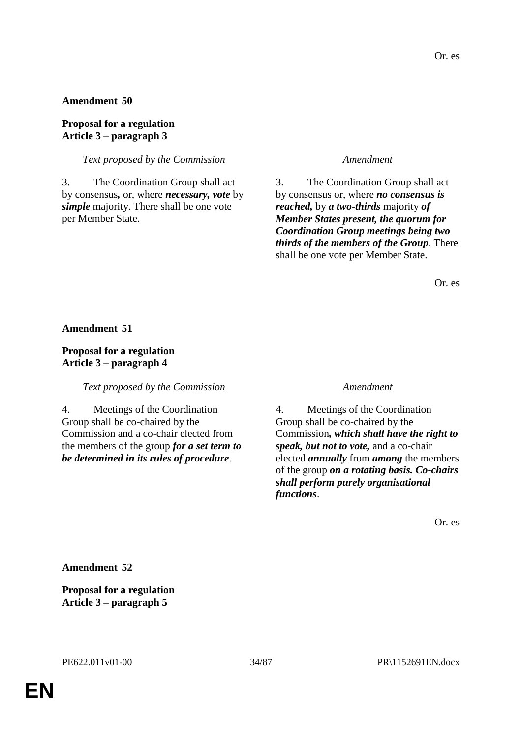#### **Proposal for a regulation Article 3 – paragraph 3**

*Text proposed by the Commission Amendment*

3. The Coordination Group shall act by consensus*,* or, where *necessary, vote* by *simple* majority. There shall be one vote per Member State.

3. The Coordination Group shall act by consensus or, where *no consensus is reached,* by *a two-thirds* majority *of Member States present, the quorum for Coordination Group meetings being two thirds of the members of the Group*. There shall be one vote per Member State.

Or. es

**Amendment 51**

### **Proposal for a regulation Article 3 – paragraph 4**

*Text proposed by the Commission Amendment*

4. Meetings of the Coordination Group shall be co-chaired by the Commission and a co-chair elected from the members of the group *for a set term to be determined in its rules of procedure*.

4. Meetings of the Coordination Group shall be co-chaired by the Commission*, which shall have the right to speak, but not to vote,* and a co-chair elected *annually* from *among* the members of the group *on a rotating basis. Co-chairs shall perform purely organisational functions*.

Or. es

**Amendment 52**

**Proposal for a regulation Article 3 – paragraph 5**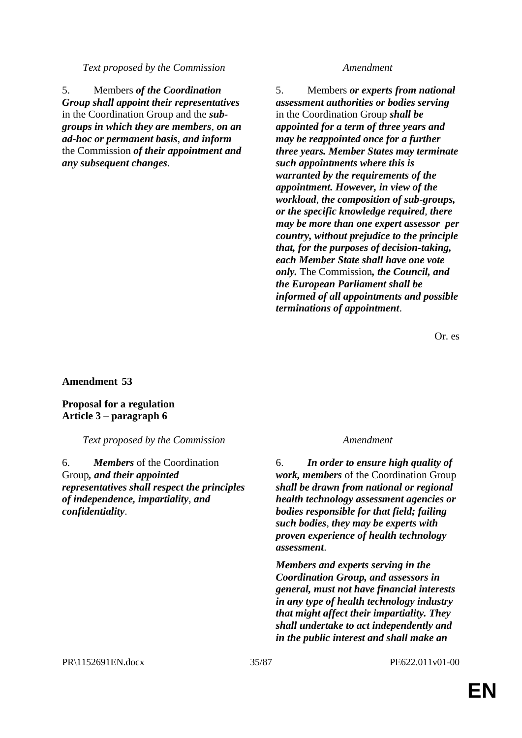*Text proposed by the Commission Amendment*

5. Members *of the Coordination Group shall appoint their representatives* in the Coordination Group and the *subgroups in which they are members*, *on an ad-hoc or permanent basis*, *and inform* the Commission *of their appointment and any subsequent changes*.

5. Members *or experts from national assessment authorities or bodies serving* in the Coordination Group *shall be appointed for a term of three years and may be reappointed once for a further three years. Member States may terminate such appointments where this is warranted by the requirements of the appointment. However, in view of the workload*, *the composition of sub-groups, or the specific knowledge required*, *there may be more than one expert assessor per country, without prejudice to the principle that, for the purposes of decision-taking, each Member State shall have one vote only.* The Commission*, the Council, and the European Parliament shall be informed of all appointments and possible terminations of appointment*.

Or. es

### **Amendment 53**

**Proposal for a regulation Article 3 – paragraph 6**

*Text proposed by the Commission Amendment*

6. *Members* of the Coordination Group*, and their appointed representatives shall respect the principles of independence, impartiality*, *and confidentiality*.

6. *In order to ensure high quality of work, members* of the Coordination Group *shall be drawn from national or regional health technology assessment agencies or bodies responsible for that field; failing such bodies*, *they may be experts with proven experience of health technology assessment*.

*Members and experts serving in the Coordination Group, and assessors in general, must not have financial interests in any type of health technology industry that might affect their impartiality. They shall undertake to act independently and in the public interest and shall make an*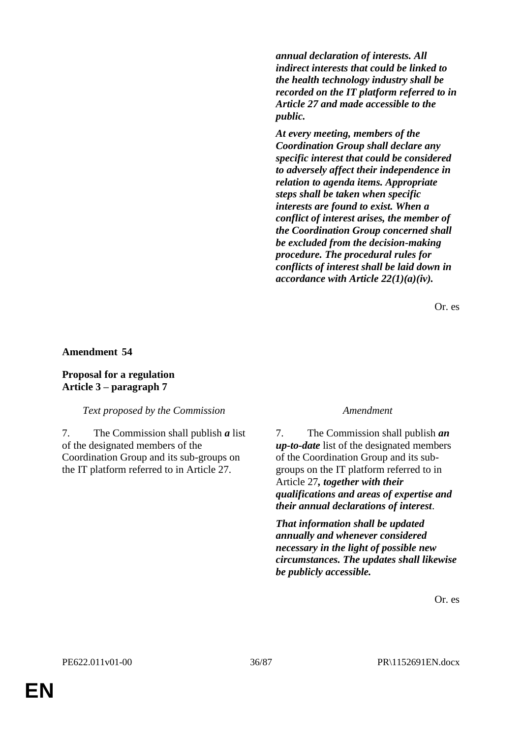*annual declaration of interests. All indirect interests that could be linked to the health technology industry shall be recorded on the IT platform referred to in Article 27 and made accessible to the public.*

*At every meeting, members of the Coordination Group shall declare any specific interest that could be considered to adversely affect their independence in relation to agenda items. Appropriate steps shall be taken when specific interests are found to exist. When a conflict of interest arises, the member of the Coordination Group concerned shall be excluded from the decision-making procedure. The procedural rules for conflicts of interest shall be laid down in accordance with Article 22(1)(a)(iv).*

Or. es

**Amendment 54**

### **Proposal for a regulation Article 3 – paragraph 7**

*Text proposed by the Commission Amendment*

7. The Commission shall publish *a* list of the designated members of the Coordination Group and its sub-groups on the IT platform referred to in Article 27.

7. The Commission shall publish *an up-to-date* list of the designated members of the Coordination Group and its subgroups on the IT platform referred to in Article 27*, together with their qualifications and areas of expertise and their annual declarations of interest*.

*That information shall be updated annually and whenever considered necessary in the light of possible new circumstances. The updates shall likewise be publicly accessible.*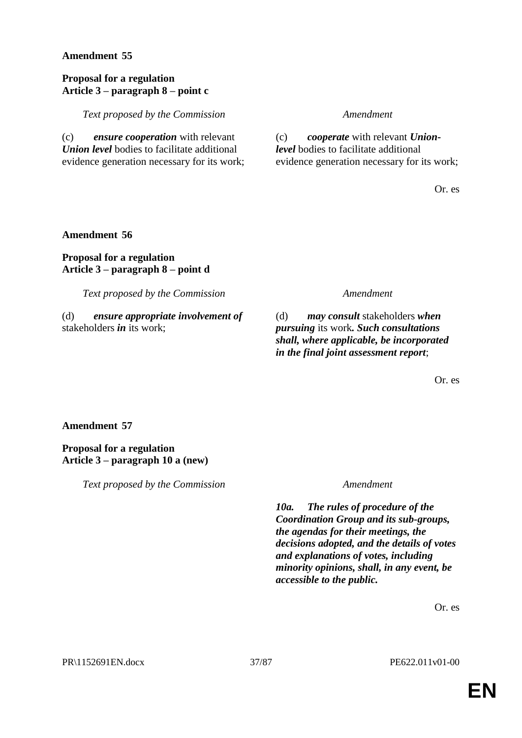# **Proposal for a regulation Article 3 – paragraph 8 – point c**

*Text proposed by the Commission Amendment*

(c) *ensure cooperation* with relevant *Union level* bodies to facilitate additional evidence generation necessary for its work;

(c) *cooperate* with relevant *Unionlevel* bodies to facilitate additional evidence generation necessary for its work;

Or. es

## **Amendment 56**

# **Proposal for a regulation Article 3 – paragraph 8 – point d**

*Text proposed by the Commission Amendment*

(d) *ensure appropriate involvement of*  stakeholders *in* its work;

(d) *may consult* stakeholders *when pursuing* its work*. Such consultations shall, where applicable, be incorporated in the final joint assessment report*;

Or. es

## **Amendment 57**

## **Proposal for a regulation Article 3 – paragraph 10 a (new)**

*Text proposed by the Commission Amendment*

*10a. The rules of procedure of the Coordination Group and its sub-groups, the agendas for their meetings, the decisions adopted, and the details of votes and explanations of votes, including minority opinions, shall, in any event, be accessible to the public.*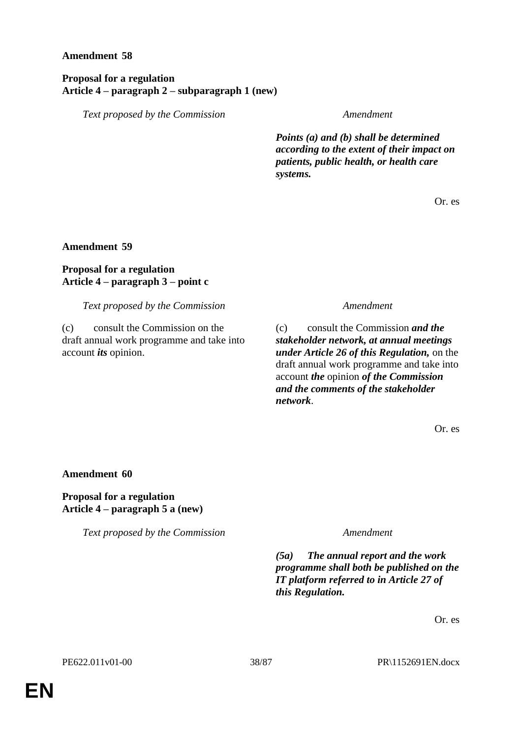## **Proposal for a regulation Article 4 – paragraph 2 – subparagraph 1 (new)**

*Text proposed by the Commission Amendment*

*Points (a) and (b) shall be determined according to the extent of their impact on patients, public health, or health care systems.*

Or. es

**Amendment 59**

# **Proposal for a regulation Article 4 – paragraph 3 – point c**

*Text proposed by the Commission Amendment*

(c) consult the Commission on the draft annual work programme and take into account *its* opinion.

(c) consult the Commission *and the stakeholder network, at annual meetings under Article 26 of this Regulation,* on the draft annual work programme and take into account *the* opinion *of the Commission and the comments of the stakeholder network*.

Or. es

**Amendment 60**

**Proposal for a regulation Article 4 – paragraph 5 a (new)**

*Text proposed by the Commission Amendment*

*(5a) The annual report and the work programme shall both be published on the IT platform referred to in Article 27 of this Regulation.*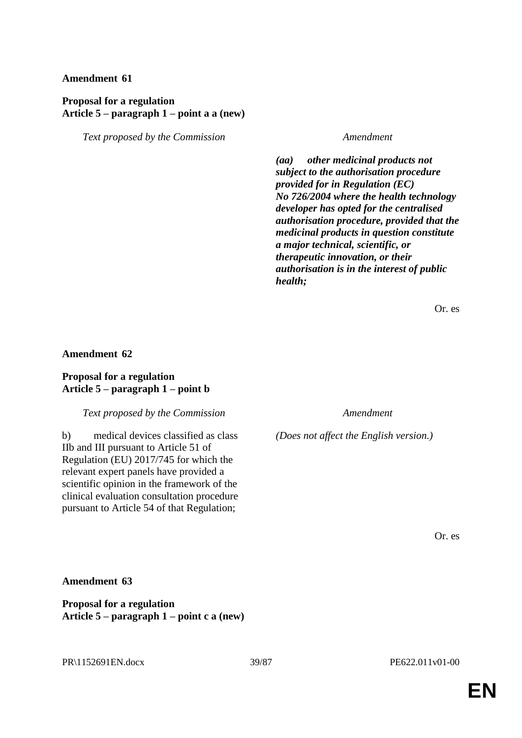## **Proposal for a regulation Article 5 – paragraph 1 – point a a (new)**

*Text proposed by the Commission Amendment*

*(aa) other medicinal products not subject to the authorisation procedure provided for in Regulation (EC) No 726/2004 where the health technology developer has opted for the centralised authorisation procedure, provided that the medicinal products in question constitute a major technical, scientific, or therapeutic innovation, or their authorisation is in the interest of public health;* 

Or. es

### **Amendment 62**

### **Proposal for a regulation Article 5 – paragraph 1 – point b**

*Text proposed by the Commission Amendment*

b) medical devices classified as class IIb and III pursuant to Article 51 of Regulation (EU) 2017/745 for which the relevant expert panels have provided a scientific opinion in the framework of the clinical evaluation consultation procedure pursuant to Article 54 of that Regulation;

*(Does not affect the English version.)*

Or. es

## **Amendment 63**

**Proposal for a regulation Article 5 – paragraph 1 – point c a (new)**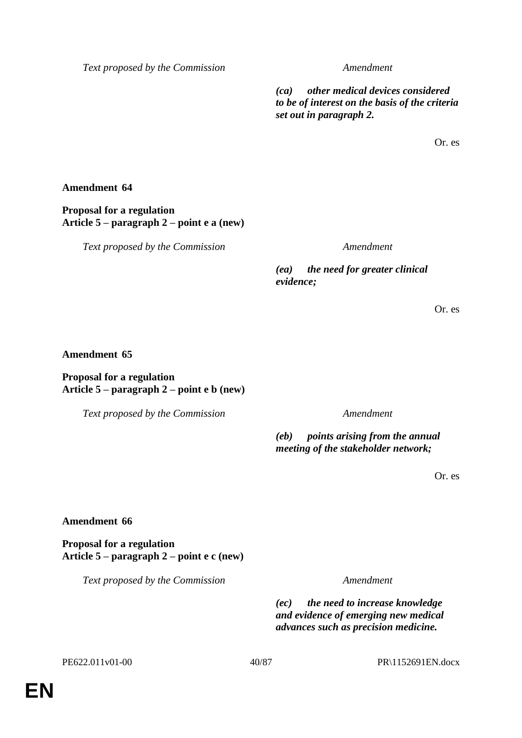*(ca) other medical devices considered to be of interest on the basis of the criteria set out in paragraph 2.*

Or. es

### **Amendment 64**

**Proposal for a regulation Article 5 – paragraph 2 – point e a (new)**

*Text proposed by the Commission Amendment*

*(ea) the need for greater clinical evidence;*

Or. es

### **Amendment 65**

### **Proposal for a regulation Article 5 – paragraph 2 – point e b (new)**

*Text proposed by the Commission Amendment*

*(eb) points arising from the annual meeting of the stakeholder network;*

Or. es

### **Amendment 66**

**Proposal for a regulation Article 5 – paragraph 2 – point e c (new)**

*Text proposed by the Commission Amendment*

*(ec) the need to increase knowledge and evidence of emerging new medical advances such as precision medicine.*

PE622.011v01-00 40/87 PR\1152691EN.docx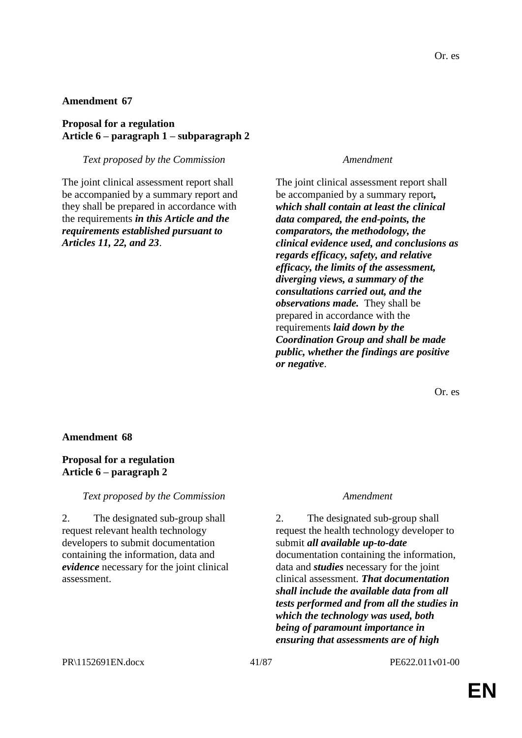## **Proposal for a regulation Article 6 – paragraph 1 – subparagraph 2**

*Text proposed by the Commission Amendment*

The joint clinical assessment report shall be accompanied by a summary report and they shall be prepared in accordance with the requirements *in this Article and the requirements established pursuant to Articles 11, 22, and 23*.

The joint clinical assessment report shall be accompanied by a summary report*, which shall contain at least the clinical data compared, the end-points, the comparators, the methodology, the clinical evidence used, and conclusions as regards efficacy, safety, and relative efficacy, the limits of the assessment, diverging views, a summary of the consultations carried out, and the observations made.* They shall be prepared in accordance with the requirements *laid down by the Coordination Group and shall be made public, whether the findings are positive or negative*.

Or. es

## **Amendment 68**

## **Proposal for a regulation Article 6 – paragraph 2**

*Text proposed by the Commission Amendment*

2. The designated sub-group shall request relevant health technology developers to submit documentation containing the information, data and *evidence* necessary for the joint clinical assessment.

2. The designated sub-group shall request the health technology developer to submit *all available up-to-date* documentation containing the information, data and *studies* necessary for the joint clinical assessment. *That documentation shall include the available data from all tests performed and from all the studies in which the technology was used, both being of paramount importance in ensuring that assessments are of high*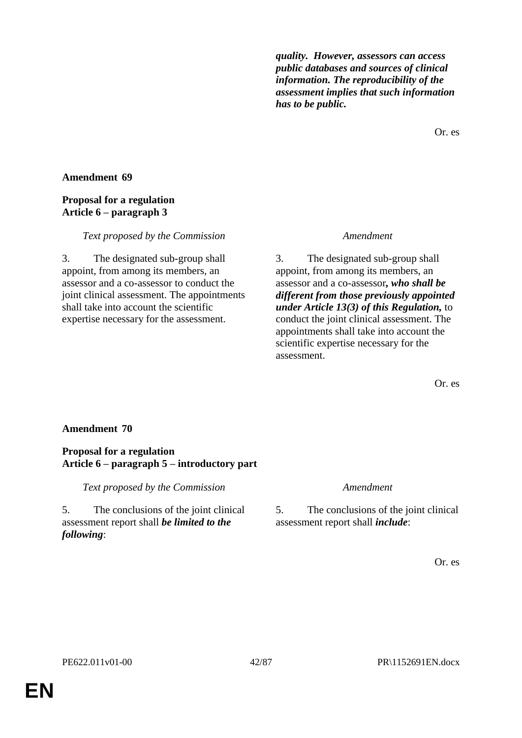*quality. However, assessors can access public databases and sources of clinical information. The reproducibility of the assessment implies that such information has to be public.*

Or. es

# **Amendment 69**

## **Proposal for a regulation Article 6 – paragraph 3**

### *Text proposed by the Commission Amendment*

3. The designated sub-group shall appoint, from among its members, an assessor and a co-assessor to conduct the joint clinical assessment. The appointments shall take into account the scientific expertise necessary for the assessment.

3. The designated sub-group shall appoint, from among its members, an assessor and a co-assessor*, who shall be different from those previously appointed under Article 13(3) of this Regulation,* to conduct the joint clinical assessment. The appointments shall take into account the scientific expertise necessary for the assessment.

Or. es

## **Amendment 70**

## **Proposal for a regulation Article 6 – paragraph 5 – introductory part**

*Text proposed by the Commission Amendment*

5. The conclusions of the joint clinical assessment report shall *be limited to the following*:

5. The conclusions of the joint clinical assessment report shall *include*: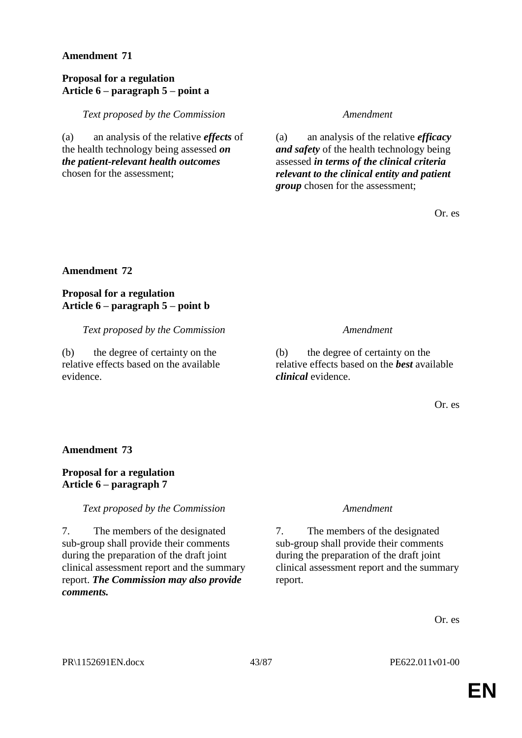## **Proposal for a regulation Article 6 – paragraph 5 – point a**

*Text proposed by the Commission Amendment*

(a) an analysis of the relative *effects* of the health technology being assessed *on the patient-relevant health outcomes* chosen for the assessment;

(a) an analysis of the relative *efficacy and safety* of the health technology being assessed *in terms of the clinical criteria relevant to the clinical entity and patient group* chosen for the assessment;

Or. es

# **Amendment 72**

**Proposal for a regulation Article 6 – paragraph 5 – point b**

*Text proposed by the Commission Amendment*

(b) the degree of certainty on the relative effects based on the available evidence.

(b) the degree of certainty on the relative effects based on the *best* available *clinical* evidence.

Or. es

### **Amendment 73**

# **Proposal for a regulation Article 6 – paragraph 7**

*Text proposed by the Commission Amendment*

7. The members of the designated sub-group shall provide their comments during the preparation of the draft joint clinical assessment report and the summary report. *The Commission may also provide comments.*

7. The members of the designated sub-group shall provide their comments during the preparation of the draft joint clinical assessment report and the summary report.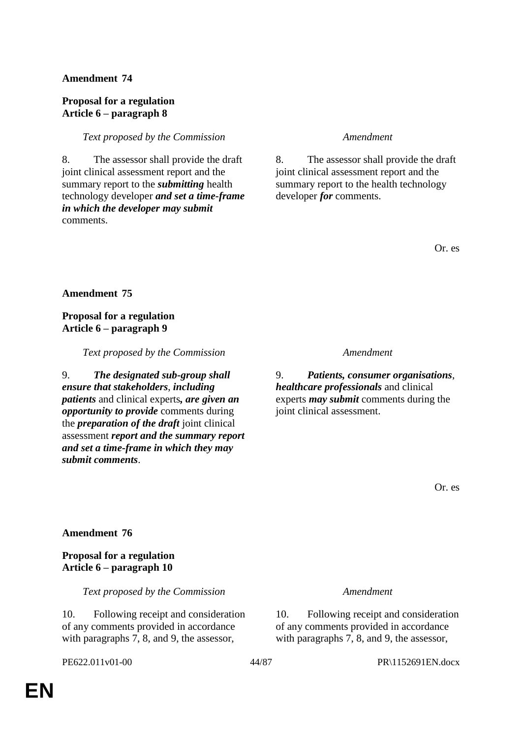# **Proposal for a regulation Article 6 – paragraph 8**

## *Text proposed by the Commission Amendment*

8. The assessor shall provide the draft joint clinical assessment report and the summary report to the *submitting* health technology developer *and set a time-frame in which the developer may submit* comments.

8. The assessor shall provide the draft joint clinical assessment report and the summary report to the health technology developer *for* comments.

Or. es

**Amendment 75**

# **Proposal for a regulation Article 6 – paragraph 9**

*Text proposed by the Commission Amendment*

9. *The designated sub-group shall ensure that stakeholders*, *including patients* and clinical experts*, are given an opportunity to provide* comments during the *preparation of the draft* joint clinical assessment *report and the summary report and set a time-frame in which they may submit comments*.

9. *Patients, consumer organisations*, *healthcare professionals* and clinical experts *may submit* comments during the joint clinical assessment.

Or. es

# **Amendment 76**

# **Proposal for a regulation Article 6 – paragraph 10**

*Text proposed by the Commission Amendment*

10. Following receipt and consideration of any comments provided in accordance with paragraphs 7, 8, and 9, the assessor,

10. Following receipt and consideration of any comments provided in accordance with paragraphs 7, 8, and 9, the assessor,

PE622.011v01-00 44/87 PR\1152691EN.docx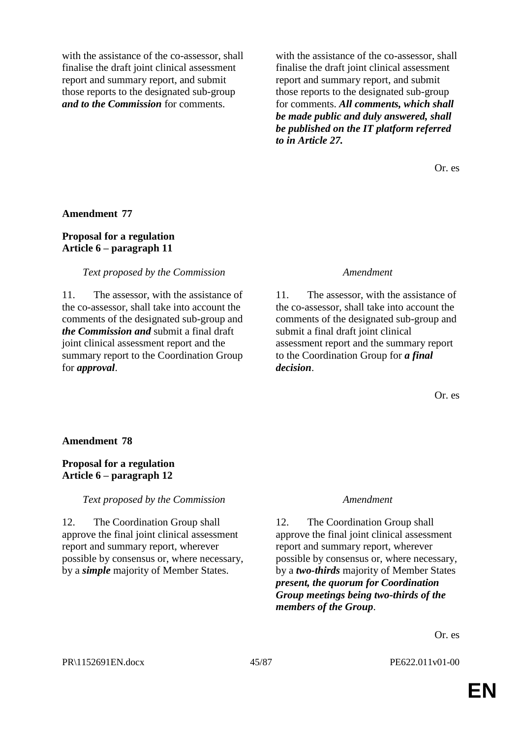with the assistance of the co-assessor, shall finalise the draft joint clinical assessment report and summary report, and submit those reports to the designated sub-group *and to the Commission* for comments.

with the assistance of the co-assessor, shall finalise the draft joint clinical assessment report and summary report, and submit those reports to the designated sub-group for comments. *All comments, which shall be made public and duly answered, shall be published on the IT platform referred to in Article 27.*

Or. es

### **Amendment 77**

### **Proposal for a regulation Article 6 – paragraph 11**

### *Text proposed by the Commission Amendment*

11. The assessor, with the assistance of the co-assessor, shall take into account the comments of the designated sub-group and *the Commission and* submit a final draft joint clinical assessment report and the summary report to the Coordination Group for *approval*.

11. The assessor, with the assistance of the co-assessor, shall take into account the comments of the designated sub-group and submit a final draft joint clinical assessment report and the summary report to the Coordination Group for *a final decision*.

Or. es

### **Amendment 78**

### **Proposal for a regulation Article 6 – paragraph 12**

### *Text proposed by the Commission Amendment*

12. The Coordination Group shall approve the final joint clinical assessment report and summary report, wherever possible by consensus or, where necessary, by a *simple* majority of Member States.

12. The Coordination Group shall approve the final joint clinical assessment report and summary report, wherever possible by consensus or, where necessary, by a *two-thirds* majority of Member States *present, the quorum for Coordination Group meetings being two-thirds of the members of the Group*.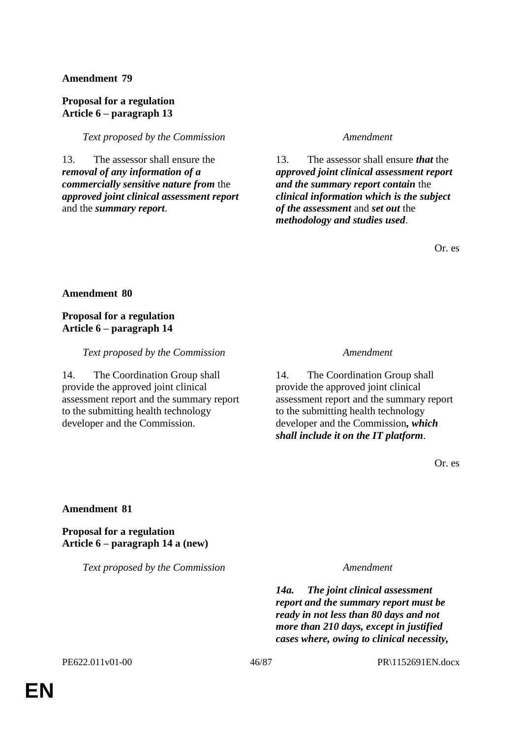# **Proposal for a regulation Article 6 – paragraph 13**

*Text proposed by the Commission Amendment*

13. The assessor shall ensure the *removal of any information of a commercially sensitive nature from* the *approved joint clinical assessment report* and the *summary report*.

13. The assessor shall ensure *that* the *approved joint clinical assessment report and the summary report contain* the *clinical information which is the subject of the assessment* and *set out* the *methodology and studies used*.

Or. es

**Amendment 80**

**Proposal for a regulation Article 6 – paragraph 14**

*Text proposed by the Commission Amendment*

14. The Coordination Group shall provide the approved joint clinical assessment report and the summary report to the submitting health technology developer and the Commission.

14. The Coordination Group shall provide the approved joint clinical assessment report and the summary report to the submitting health technology developer and the Commission*, which shall include it on the IT platform*.

Or. es

**Amendment 81**

**Proposal for a regulation Article 6 – paragraph 14 a (new)**

*Text proposed by the Commission Amendment*

*14a. The joint clinical assessment report and the summary report must be ready in not less than 80 days and not more than 210 days, except in justified cases where, owing to clinical necessity,*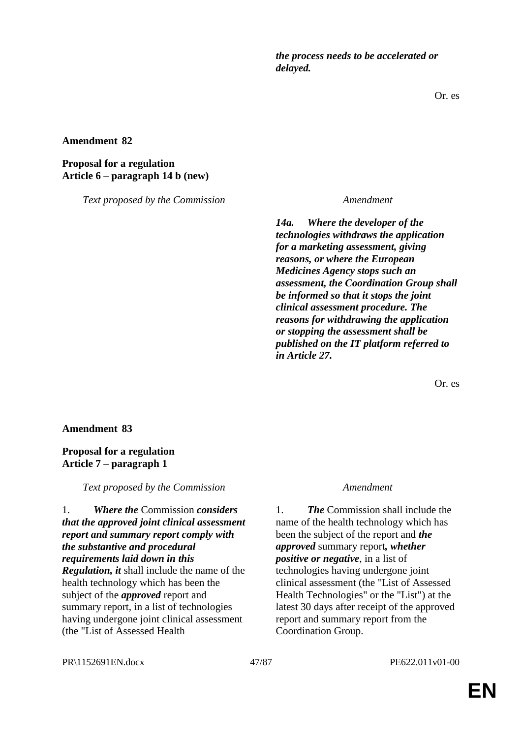*the process needs to be accelerated or delayed.*

Or. es

**Amendment 82**

# **Proposal for a regulation Article 6 – paragraph 14 b (new)**

*Text proposed by the Commission Amendment*

*14a. Where the developer of the technologies withdraws the application for a marketing assessment, giving reasons, or where the European Medicines Agency stops such an assessment, the Coordination Group shall be informed so that it stops the joint clinical assessment procedure. The reasons for withdrawing the application or stopping the assessment shall be published on the IT platform referred to in Article 27.*

Or. es

## **Amendment 83**

# **Proposal for a regulation Article 7 – paragraph 1**

*Text proposed by the Commission Amendment*

1. *Where the* Commission *considers that the approved joint clinical assessment report and summary report comply with the substantive and procedural requirements laid down in this Regulation, it* shall include the name of the health technology which has been the subject of the *approved* report and summary report, in a list of technologies having undergone joint clinical assessment (the "List of Assessed Health

1. *The* Commission shall include the name of the health technology which has been the subject of the report and *the approved* summary report*, whether positive or negative*, in a list of technologies having undergone joint clinical assessment (the "List of Assessed Health Technologies" or the "List") at the latest 30 days after receipt of the approved report and summary report from the Coordination Group.

PR\1152691EN.docx 47/87 PE622.011v01-00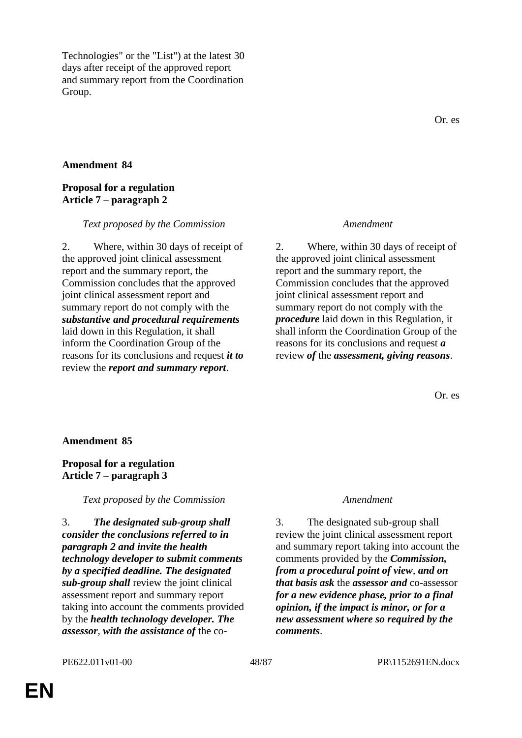Technologies" or the "List") at the latest 30 days after receipt of the approved report and summary report from the Coordination Group.

### **Amendment 84**

## **Proposal for a regulation Article 7 – paragraph 2**

### *Text proposed by the Commission Amendment*

2. Where, within 30 days of receipt of the approved joint clinical assessment report and the summary report, the Commission concludes that the approved joint clinical assessment report and summary report do not comply with the *substantive and procedural requirements* laid down in this Regulation, it shall inform the Coordination Group of the reasons for its conclusions and request *it to* review the *report and summary report*.

2. Where, within 30 days of receipt of the approved joint clinical assessment report and the summary report, the Commission concludes that the approved joint clinical assessment report and summary report do not comply with the *procedure* laid down in this Regulation, it shall inform the Coordination Group of the reasons for its conclusions and request *a* review *of* the *assessment, giving reasons*.

Or. es

### **Amendment 85**

## **Proposal for a regulation Article 7 – paragraph 3**

*Text proposed by the Commission Amendment*

3. *The designated sub-group shall consider the conclusions referred to in paragraph 2 and invite the health technology developer to submit comments by a specified deadline. The designated sub-group shall* review the joint clinical assessment report and summary report taking into account the comments provided by the *health technology developer. The assessor*, *with the assistance of* the co-

3. The designated sub-group shall review the joint clinical assessment report and summary report taking into account the comments provided by the *Commission, from a procedural point of view*, *and on that basis ask* the *assessor and* co-assessor *for a new evidence phase, prior to a final opinion, if the impact is minor, or for a new assessment where so required by the comments*.

### PE622.011v01-00 48/87 PR\1152691EN.docx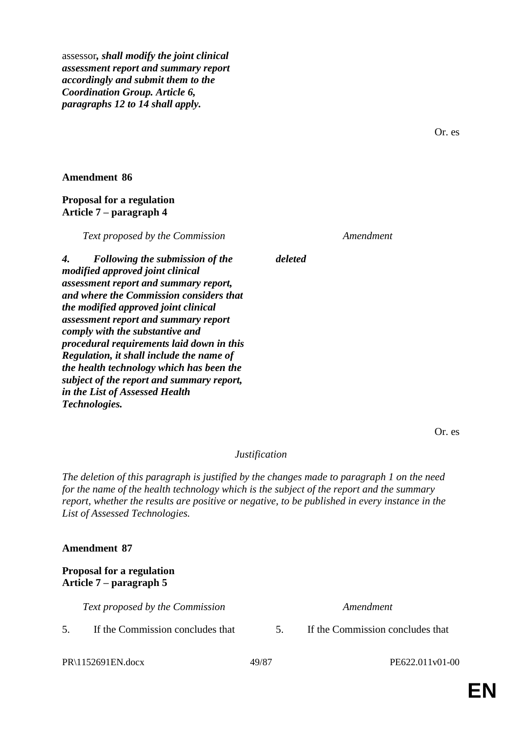assessor*, shall modify the joint clinical assessment report and summary report accordingly and submit them to the Coordination Group. Article 6, paragraphs 12 to 14 shall apply.*

Or. es

### **Amendment 86**

## **Proposal for a regulation Article 7 – paragraph 4**

*Text proposed by the Commission Amendment*

*deleted*

*4. Following the submission of the modified approved joint clinical assessment report and summary report, and where the Commission considers that the modified approved joint clinical assessment report and summary report comply with the substantive and procedural requirements laid down in this Regulation, it shall include the name of the health technology which has been the subject of the report and summary report, in the List of Assessed Health Technologies.*

Or. es

# *Justification*

*The deletion of this paragraph is justified by the changes made to paragraph 1 on the need for the name of the health technology which is the subject of the report and the summary report, whether the results are positive or negative, to be published in every instance in the List of Assessed Technologies.*

### **Amendment 87**

**Proposal for a regulation Article 7 – paragraph 5**

*Text proposed by the Commission Amendment*

5. If the Commission concludes that 5. If the Commission concludes that

PR\1152691EN.docx 49/87 PE622.011v01-00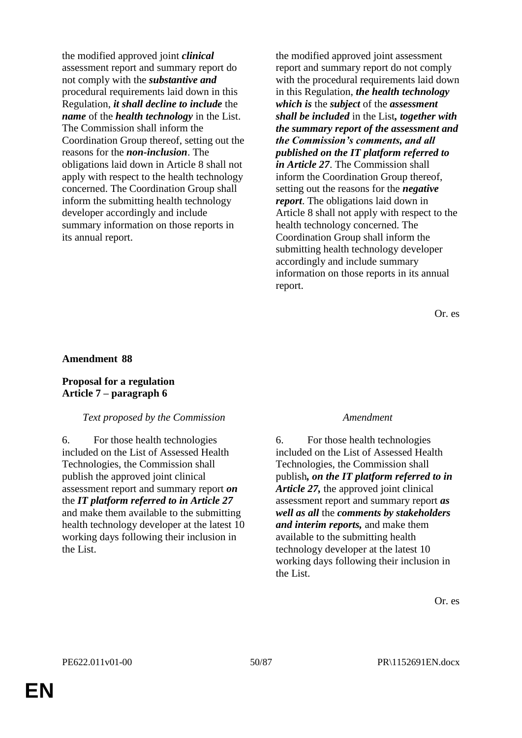the modified approved joint *clinical*  assessment report and summary report do not comply with the *substantive and*  procedural requirements laid down in this Regulation, *it shall decline to include* the *name* of the *health technology* in the List. The Commission shall inform the Coordination Group thereof, setting out the reasons for the *non-inclusion*. The obligations laid down in Article 8 shall not apply with respect to the health technology concerned. The Coordination Group shall inform the submitting health technology developer accordingly and include summary information on those reports in its annual report.

the modified approved joint assessment report and summary report do not comply with the procedural requirements laid down in this Regulation, *the health technology which is* the *subject* of the *assessment shall be included* in the List*, together with the summary report of the assessment and the Commission's comments, and all published on the IT platform referred to in Article 27*. The Commission shall inform the Coordination Group thereof, setting out the reasons for the *negative report*. The obligations laid down in Article 8 shall not apply with respect to the health technology concerned. The Coordination Group shall inform the submitting health technology developer accordingly and include summary information on those reports in its annual report.

Or. es

### **Amendment 88**

### **Proposal for a regulation Article 7 – paragraph 6**

### *Text proposed by the Commission Amendment*

6. For those health technologies included on the List of Assessed Health Technologies, the Commission shall publish the approved joint clinical assessment report and summary report *on* the *IT platform referred to in Article 27* and make them available to the submitting health technology developer at the latest 10 working days following their inclusion in the List.

6. For those health technologies included on the List of Assessed Health Technologies, the Commission shall publish*, on the IT platform referred to in Article 27,* the approved joint clinical assessment report and summary report *as well as all* the *comments by stakeholders and interim reports,* and make them available to the submitting health technology developer at the latest 10 working days following their inclusion in the List.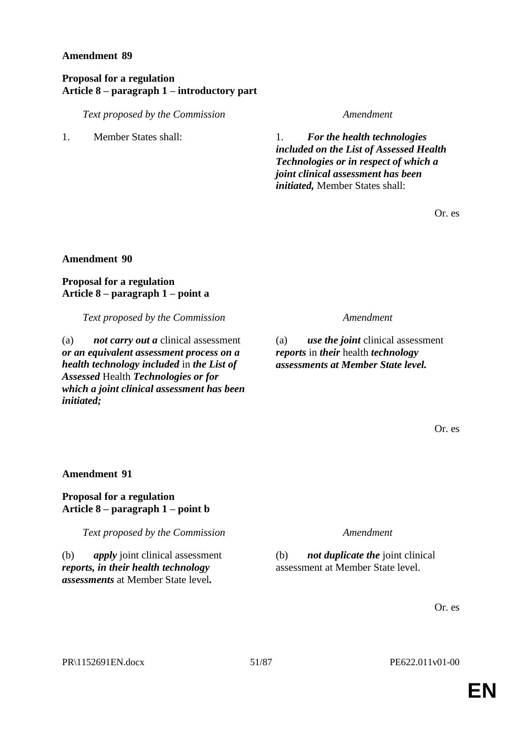## **Proposal for a regulation Article 8 – paragraph 1 – introductory part**

*Text proposed by the Commission Amendment*

1. Member States shall: 1. *For the health technologies included on the List of Assessed Health Technologies or in respect of which a joint clinical assessment has been initiated,* Member States shall:

Or. es

# **Amendment 90**

# **Proposal for a regulation Article 8 – paragraph 1 – point a**

*Text proposed by the Commission Amendment*

(a) *not carry out a* clinical assessment *or an equivalent assessment process on a health technology included* in *the List of Assessed* Health *Technologies or for which a joint clinical assessment has been initiated;*

(a) *use the joint* clinical assessment *reports* in *their* health *technology assessments at Member State level.*

Or. es

**Amendment 91**

**Proposal for a regulation Article 8 – paragraph 1 – point b**

*Text proposed by the Commission Amendment*

(b) *apply* joint clinical assessment *reports, in their health technology assessments* at Member State level*.*

(b) *not duplicate the* joint clinical assessment at Member State level.

Or. es

PR\1152691EN.docx 51/87 PE622.011v01-00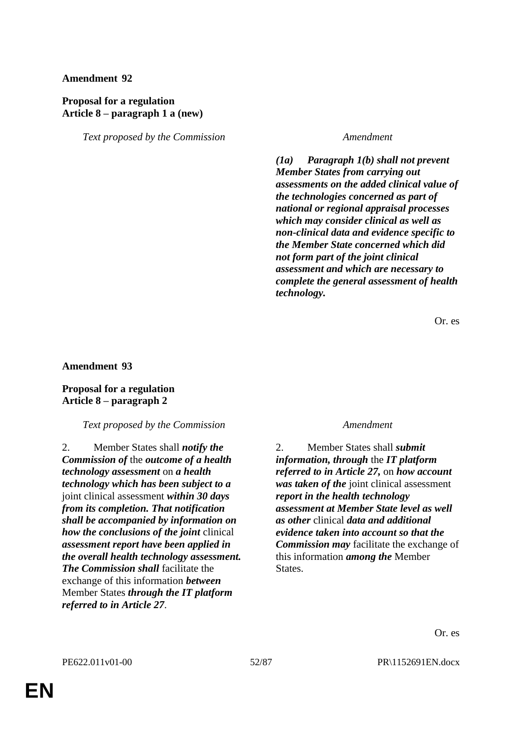# **Proposal for a regulation Article 8 – paragraph 1 a (new)**

*Text proposed by the Commission Amendment*

*(1a) Paragraph 1(b) shall not prevent Member States from carrying out assessments on the added clinical value of the technologies concerned as part of national or regional appraisal processes which may consider clinical as well as non-clinical data and evidence specific to the Member State concerned which did not form part of the joint clinical assessment and which are necessary to complete the general assessment of health technology.*

Or. es

## **Amendment 93**

# **Proposal for a regulation Article 8 – paragraph 2**

## *Text proposed by the Commission Amendment*

2. Member States shall *notify the Commission of* the *outcome of a health technology assessment* on *a health technology which has been subject to a* joint clinical assessment *within 30 days from its completion. That notification shall be accompanied by information on how the conclusions of the joint* clinical *assessment report have been applied in the overall health technology assessment. The Commission shall* facilitate the exchange of this information *between* Member States *through the IT platform referred to in Article 27*.

2. Member States shall *submit information, through* the *IT platform referred to in Article 27,* on *how account was taken of the* joint clinical assessment *report in the health technology assessment at Member State level as well as other* clinical *data and additional evidence taken into account so that the Commission may* facilitate the exchange of this information *among the* Member States.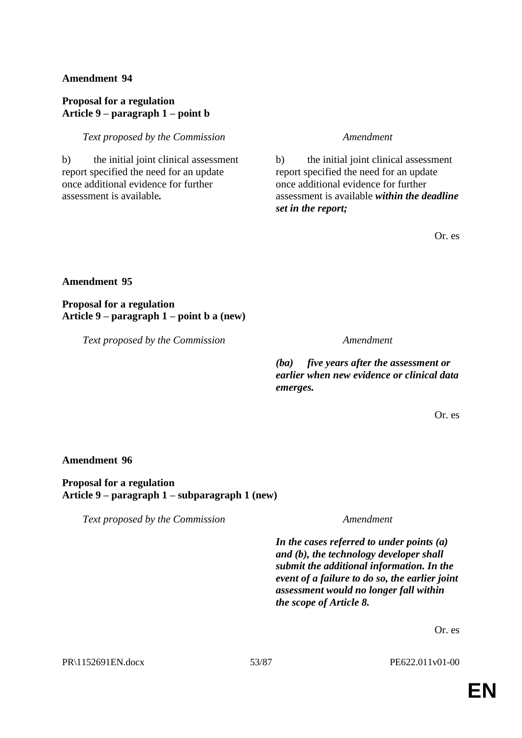# **Proposal for a regulation Article 9 – paragraph 1 – point b**

## *Text proposed by the Commission Amendment*

b) the initial joint clinical assessment report specified the need for an update once additional evidence for further assessment is available*.*

b) the initial joint clinical assessment report specified the need for an update once additional evidence for further assessment is available *within the deadline set in the report;*

Or. es

# **Amendment 95**

# **Proposal for a regulation Article 9 – paragraph 1 – point b a (new)**

*Text proposed by the Commission Amendment*

*(ba) five years after the assessment or earlier when new evidence or clinical data emerges.*

Or. es

# **Amendment 96**

**Proposal for a regulation Article 9 – paragraph 1 – subparagraph 1 (new)**

*Text proposed by the Commission Amendment*

*In the cases referred to under points (a) and (b), the technology developer shall submit the additional information. In the event of a failure to do so, the earlier joint assessment would no longer fall within the scope of Article 8.*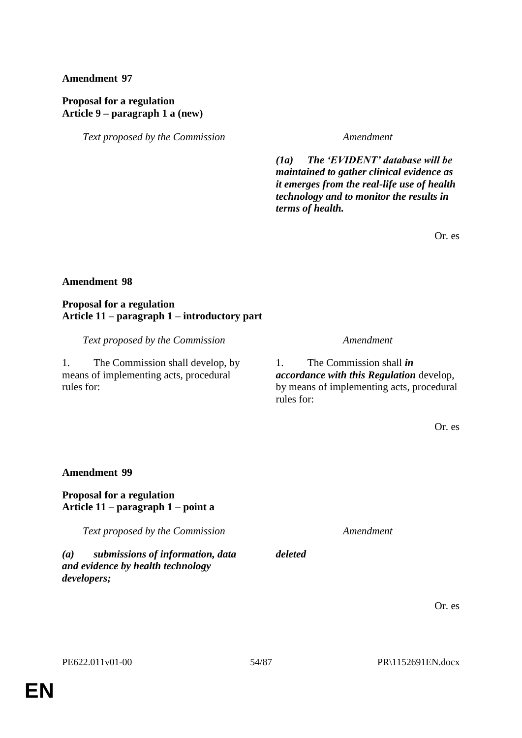# **Proposal for a regulation Article 9 – paragraph 1 a (new)**

*Text proposed by the Commission Amendment*

*(1a) The 'EVIDENT' database will be maintained to gather clinical evidence as it emerges from the real-life use of health technology and to monitor the results in terms of health.*

Or. es

## **Amendment 98**

### **Proposal for a regulation Article 11 – paragraph 1 – introductory part**

*Text proposed by the Commission Amendment*

1. The Commission shall develop, by means of implementing acts, procedural rules for:

1. The Commission shall *in accordance with this Regulation* develop, by means of implementing acts, procedural rules for:

Or. es

## **Amendment 99**

## **Proposal for a regulation Article 11 – paragraph 1 – point a**

*Text proposed by the Commission Amendment*

*(a) submissions of information, data and evidence by health technology developers;*

Or. es

*deleted*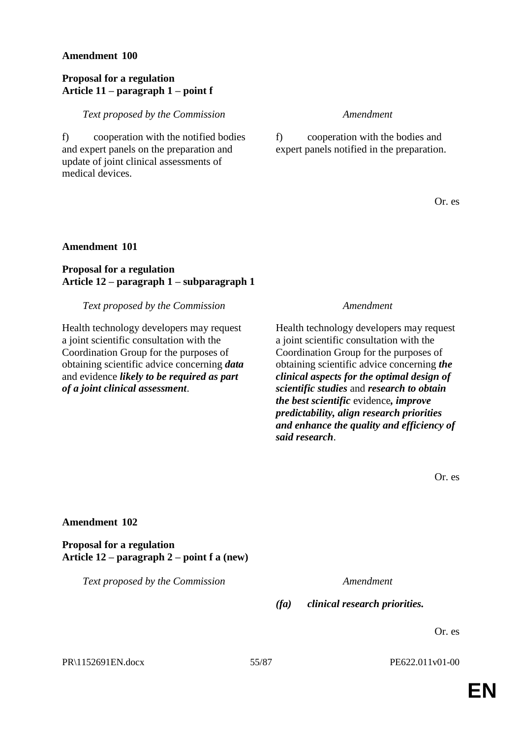### **Proposal for a regulation Article 11 – paragraph 1 – point f**

*Text proposed by the Commission Amendment*

f) cooperation with the notified bodies and expert panels on the preparation and update of joint clinical assessments of medical devices.

f) cooperation with the bodies and expert panels notified in the preparation.

Or. es

## **Amendment 101**

# **Proposal for a regulation Article 12 – paragraph 1 – subparagraph 1**

*Text proposed by the Commission Amendment*

Health technology developers may request a joint scientific consultation with the Coordination Group for the purposes of obtaining scientific advice concerning *data* and evidence *likely to be required as part of a joint clinical assessment*.

Health technology developers may request a joint scientific consultation with the Coordination Group for the purposes of obtaining scientific advice concerning *the clinical aspects for the optimal design of scientific studies* and *research to obtain the best scientific* evidence*, improve predictability, align research priorities and enhance the quality and efficiency of said research*.

Or. es

### **Amendment 102**

**Proposal for a regulation Article 12 – paragraph 2 – point f a (new)**

*Text proposed by the Commission Amendment*

*(fa) clinical research priorities.*

Or. es

PR\1152691EN.docx 55/87 PE622.011v01-00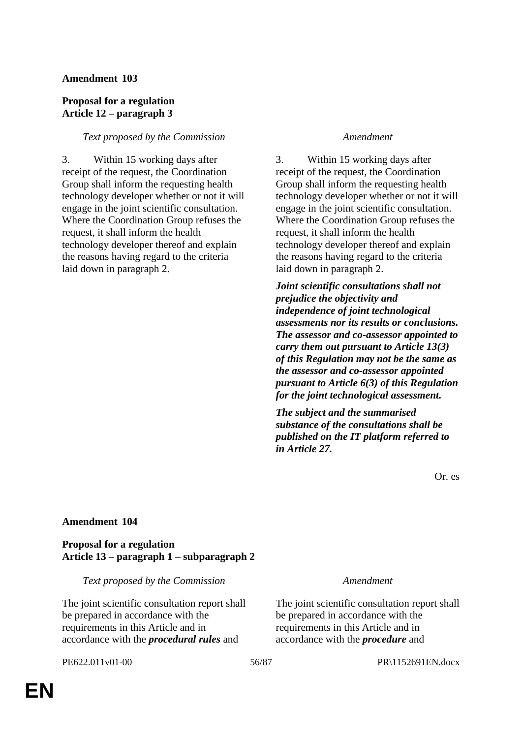# **Proposal for a regulation Article 12 – paragraph 3**

## *Text proposed by the Commission Amendment*

3. Within 15 working days after receipt of the request, the Coordination Group shall inform the requesting health technology developer whether or not it will engage in the joint scientific consultation. Where the Coordination Group refuses the request, it shall inform the health technology developer thereof and explain the reasons having regard to the criteria laid down in paragraph 2.

3. Within 15 working days after receipt of the request, the Coordination Group shall inform the requesting health technology developer whether or not it will engage in the joint scientific consultation. Where the Coordination Group refuses the request, it shall inform the health technology developer thereof and explain the reasons having regard to the criteria laid down in paragraph 2.

*Joint scientific consultations shall not prejudice the objectivity and independence of joint technological assessments nor its results or conclusions. The assessor and co-assessor appointed to carry them out pursuant to Article 13(3) of this Regulation may not be the same as the assessor and co-assessor appointed pursuant to Article 6(3) of this Regulation for the joint technological assessment.*

*The subject and the summarised substance of the consultations shall be published on the IT platform referred to in Article 27.*

Or. es

## **Amendment 104**

### **Proposal for a regulation Article 13 – paragraph 1 – subparagraph 2**

*Text proposed by the Commission Amendment*

The joint scientific consultation report shall be prepared in accordance with the requirements in this Article and in accordance with the *procedural rules* and

The joint scientific consultation report shall be prepared in accordance with the requirements in this Article and in accordance with the *procedure* and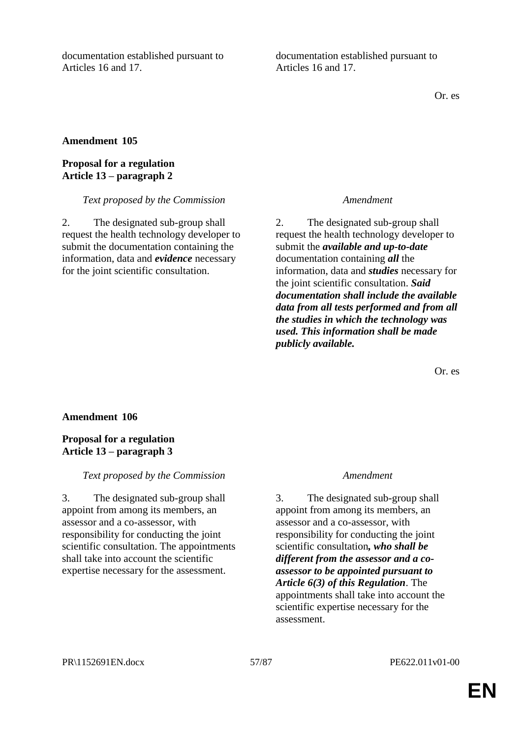documentation established pursuant to Articles 16 and 17.

documentation established pursuant to Articles 16 and 17.

Or. es

## **Amendment 105**

## **Proposal for a regulation Article 13 – paragraph 2**

### *Text proposed by the Commission Amendment*

2. The designated sub-group shall request the health technology developer to submit the documentation containing the information, data and *evidence* necessary for the joint scientific consultation.

2. The designated sub-group shall request the health technology developer to submit the *available and up-to-date*  documentation containing *all* the information, data and *studies* necessary for the joint scientific consultation. *Said documentation shall include the available data from all tests performed and from all the studies in which the technology was used. This information shall be made publicly available.*

Or. es

### **Amendment 106**

## **Proposal for a regulation Article 13 – paragraph 3**

### *Text proposed by the Commission Amendment*

3. The designated sub-group shall appoint from among its members, an assessor and a co-assessor, with responsibility for conducting the joint scientific consultation. The appointments shall take into account the scientific expertise necessary for the assessment.

3. The designated sub-group shall appoint from among its members, an assessor and a co-assessor, with responsibility for conducting the joint scientific consultation*, who shall be different from the assessor and a coassessor to be appointed pursuant to Article 6(3) of this Regulation*. The appointments shall take into account the scientific expertise necessary for the assessment.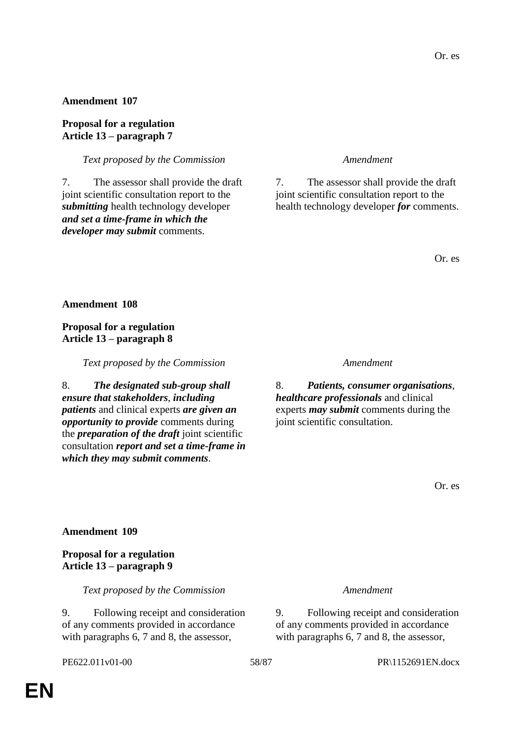### **Proposal for a regulation Article 13 – paragraph 7**

*Text proposed by the Commission Amendment*

7. The assessor shall provide the draft joint scientific consultation report to the *submitting* health technology developer *and set a time-frame in which the developer may submit* comments.

7. The assessor shall provide the draft joint scientific consultation report to the health technology developer *for* comments.

Or. es

**Amendment 108**

**Proposal for a regulation Article 13 – paragraph 8**

*Text proposed by the Commission Amendment*

8. *The designated sub-group shall ensure that stakeholders*, *including patients* and clinical experts *are given an opportunity to provide* comments during the *preparation of the draft* joint scientific consultation *report and set a time-frame in which they may submit comments*.

8. *Patients, consumer organisations*, *healthcare professionals* and clinical experts *may submit* comments during the joint scientific consultation.

Or. es

### **Amendment 109**

**Proposal for a regulation Article 13 – paragraph 9**

*Text proposed by the Commission Amendment*

9. Following receipt and consideration of any comments provided in accordance with paragraphs 6, 7 and 8, the assessor,

9. Following receipt and consideration of any comments provided in accordance with paragraphs 6, 7 and 8, the assessor,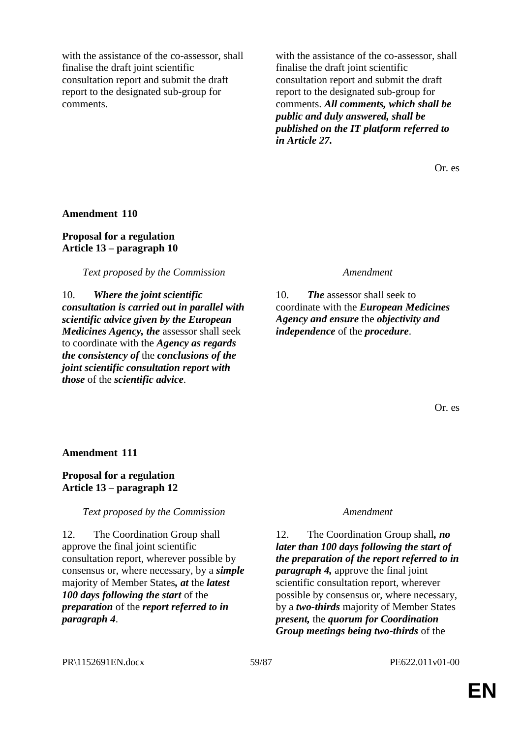with the assistance of the co-assessor, shall finalise the draft joint scientific consultation report and submit the draft report to the designated sub-group for comments.

with the assistance of the co-assessor, shall finalise the draft joint scientific consultation report and submit the draft report to the designated sub-group for comments. *All comments, which shall be public and duly answered, shall be published on the IT platform referred to in Article 27.*

Or. es

**Amendment 110**

**Proposal for a regulation Article 13 – paragraph 10**

*Text proposed by the Commission Amendment*

10. *Where the joint scientific consultation is carried out in parallel with scientific advice given by the European Medicines Agency, the* assessor shall seek to coordinate with the *Agency as regards the consistency of* the *conclusions of the joint scientific consultation report with those* of the *scientific advice*.

10. *The* assessor shall seek to coordinate with the *European Medicines Agency and ensure* the *objectivity and independence* of the *procedure*.

Or. es

**Amendment 111**

## **Proposal for a regulation Article 13 – paragraph 12**

## *Text proposed by the Commission Amendment*

12. The Coordination Group shall approve the final joint scientific consultation report, wherever possible by consensus or, where necessary, by a *simple* majority of Member States*, at* the *latest 100 days following the start* of the *preparation* of the *report referred to in paragraph 4*.

12. The Coordination Group shall*, no later than 100 days following the start of the preparation of the report referred to in paragraph 4,* approve the final joint scientific consultation report, wherever possible by consensus or, where necessary, by a *two-thirds* majority of Member States *present,* the *quorum for Coordination Group meetings being two-thirds* of the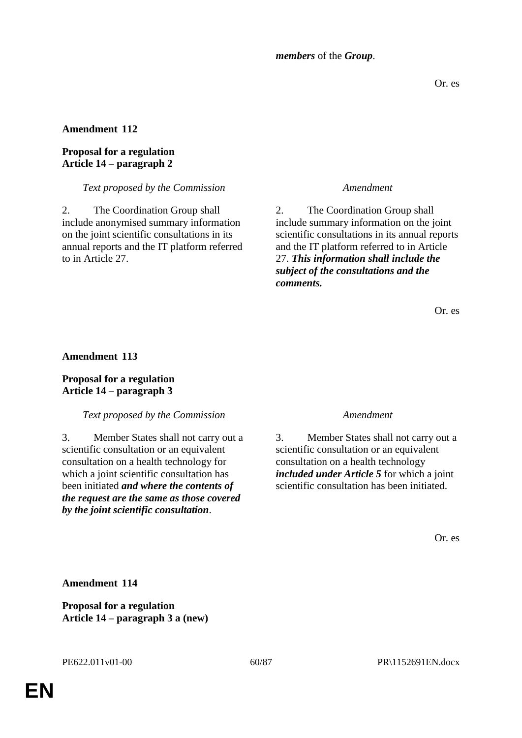*members* of the *Group*.

Or. es

# **Amendment 112**

# **Proposal for a regulation Article 14 – paragraph 2**

## *Text proposed by the Commission Amendment*

2. The Coordination Group shall include anonymised summary information on the joint scientific consultations in its annual reports and the IT platform referred to in Article 27.

2. The Coordination Group shall include summary information on the joint scientific consultations in its annual reports and the IT platform referred to in Article 27. *This information shall include the subject of the consultations and the comments.*

Or. es

## **Amendment 113**

# **Proposal for a regulation Article 14 – paragraph 3**

## *Text proposed by the Commission Amendment*

3. Member States shall not carry out a scientific consultation or an equivalent consultation on a health technology for which a joint scientific consultation has been initiated *and where the contents of the request are the same as those covered by the joint scientific consultation*.

3. Member States shall not carry out a scientific consultation or an equivalent consultation on a health technology *included under Article 5* for which a joint scientific consultation has been initiated.

Or. es

**Amendment 114**

**Proposal for a regulation Article 14 – paragraph 3 a (new)**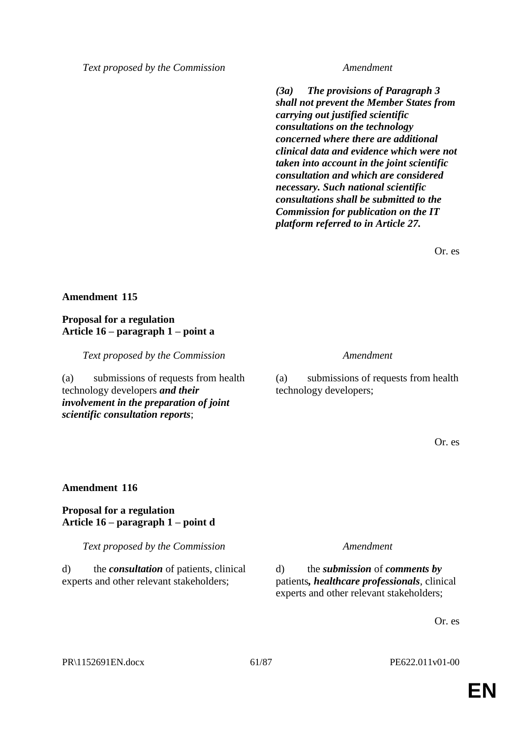*(3a) The provisions of Paragraph 3 shall not prevent the Member States from carrying out justified scientific consultations on the technology concerned where there are additional clinical data and evidence which were not taken into account in the joint scientific consultation and which are considered necessary. Such national scientific consultations shall be submitted to the Commission for publication on the IT platform referred to in Article 27.*

Or. es

# **Amendment 115**

# **Proposal for a regulation Article 16 – paragraph 1 – point a**

*Text proposed by the Commission Amendment*

(a) submissions of requests from health technology developers *and their involvement in the preparation of joint scientific consultation reports*;

(a) submissions of requests from health technology developers;

Or. es

## **Amendment 116**

## **Proposal for a regulation Article 16 – paragraph 1 – point d**

*Text proposed by the Commission Amendment*

d) the *consultation* of patients, clinical experts and other relevant stakeholders;

d) the *submission* of *comments by* patients*, healthcare professionals*, clinical experts and other relevant stakeholders;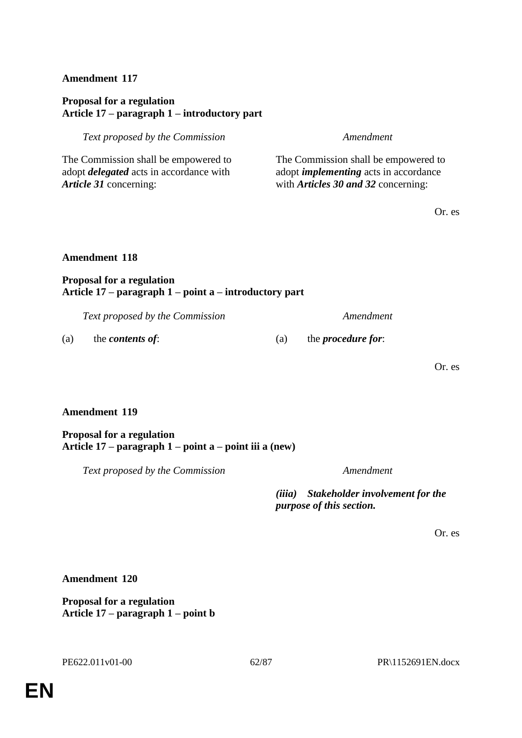# **Proposal for a regulation Article 17 – paragraph 1 – introductory part**

*Text proposed by the Commission Amendment*

The Commission shall be empowered to adopt *delegated* acts in accordance with *Article 31* concerning:

The Commission shall be empowered to adopt *implementing* acts in accordance with *Articles 30 and 32* concerning:

Or. es

### **Amendment 118**

## **Proposal for a regulation Article 17 – paragraph 1 – point a – introductory part**

*Text proposed by the Commission Amendment*

(a) the *contents of*: (a) the *procedure for*:

Or. es

## **Amendment 119**

### **Proposal for a regulation Article 17 – paragraph 1 – point a – point iii a (new)**

*Text proposed by the Commission Amendment*

*(iiia) Stakeholder involvement for the purpose of this section.*

Or. es

**Amendment 120**

**Proposal for a regulation Article 17 – paragraph 1 – point b**

PE622.011v01-00 62/87 PR\1152691EN.docx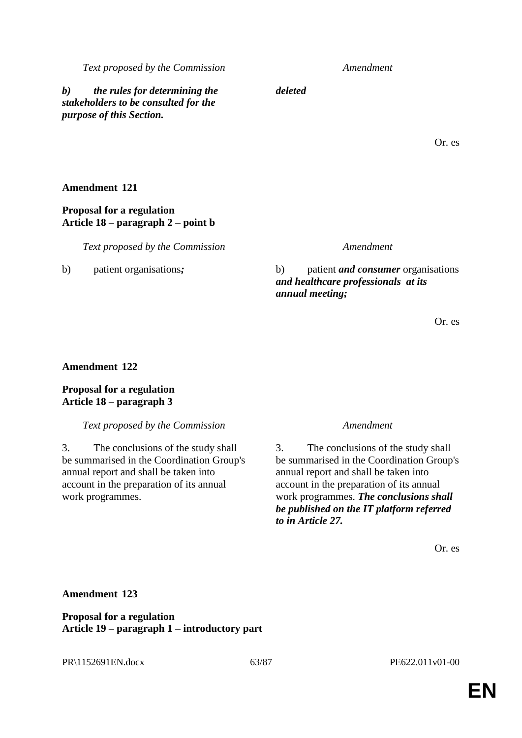*b) the rules for determining the stakeholders to be consulted for the purpose of this Section.*

*deleted*

Or. es

# **Amendment 121**

# **Proposal for a regulation Article 18 – paragraph 2 – point b**

*Text proposed by the Commission Amendment*

b) patient organisations*;* b) patient *and consumer* organisations *and healthcare professionals at its annual meeting;*

Or. es

# **Amendment 122**

# **Proposal for a regulation Article 18 – paragraph 3**

*Text proposed by the Commission Amendment*

3. The conclusions of the study shall be summarised in the Coordination Group's annual report and shall be taken into account in the preparation of its annual work programmes.

3. The conclusions of the study shall be summarised in the Coordination Group's annual report and shall be taken into account in the preparation of its annual work programmes. *The conclusions shall be published on the IT platform referred to in Article 27.*

Or. es

# **Amendment 123**

**Proposal for a regulation Article 19 – paragraph 1 – introductory part**

PR\1152691EN.docx 63/87 PE622.011v01-00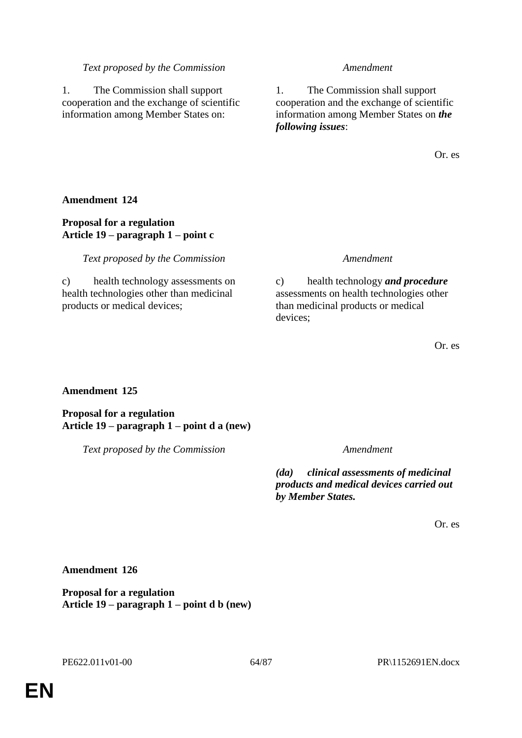1. The Commission shall support cooperation and the exchange of scientific information among Member States on:

1. The Commission shall support cooperation and the exchange of scientific information among Member States on *the following issues*:

Or. es

# **Amendment 124**

# **Proposal for a regulation Article 19 – paragraph 1 – point c**

*Text proposed by the Commission Amendment*

c) health technology assessments on health technologies other than medicinal products or medical devices;

c) health technology *and procedure*  assessments on health technologies other than medicinal products or medical devices;

Or. es

## **Amendment 125**

**Proposal for a regulation Article 19 – paragraph 1 – point d a (new)**

*Text proposed by the Commission Amendment*

*(da) clinical assessments of medicinal products and medical devices carried out by Member States.*

Or. es

**Amendment 126**

**Proposal for a regulation Article 19 – paragraph 1 – point d b (new)**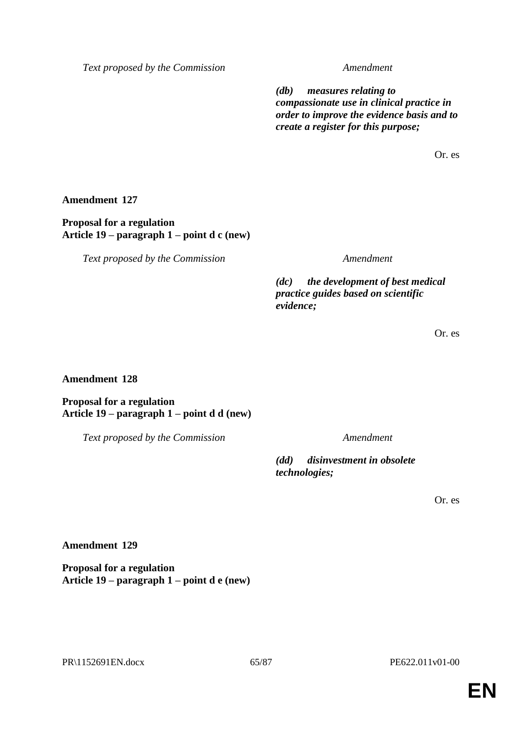*(db) measures relating to compassionate use in clinical practice in order to improve the evidence basis and to create a register for this purpose;*

Or. es

**Amendment 127**

**Proposal for a regulation Article 19 – paragraph 1 – point d c (new)**

*Text proposed by the Commission Amendment*

*(dc) the development of best medical practice guides based on scientific evidence;*

Or. es

## **Amendment 128**

**Proposal for a regulation Article 19 – paragraph 1 – point d d (new)**

*Text proposed by the Commission Amendment*

*(dd) disinvestment in obsolete technologies;*

Or. es

**Amendment 129**

**Proposal for a regulation Article 19 – paragraph 1 – point d e (new)**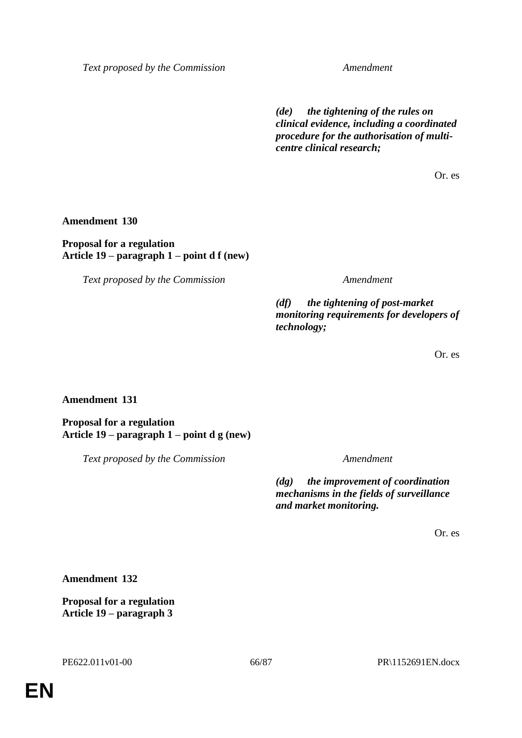*(de) the tightening of the rules on clinical evidence, including a coordinated procedure for the authorisation of multicentre clinical research;*

Or. es

**Amendment 130**

**Proposal for a regulation Article 19 – paragraph 1 – point d f (new)**

*Text proposed by the Commission Amendment*

*(df) the tightening of post-market monitoring requirements for developers of technology;*

Or. es

**Amendment 131**

**Proposal for a regulation Article 19 – paragraph 1 – point d g (new)**

*Text proposed by the Commission Amendment*

*(dg) the improvement of coordination mechanisms in the fields of surveillance and market monitoring.*

Or. es

**Amendment 132**

**Proposal for a regulation Article 19 – paragraph 3**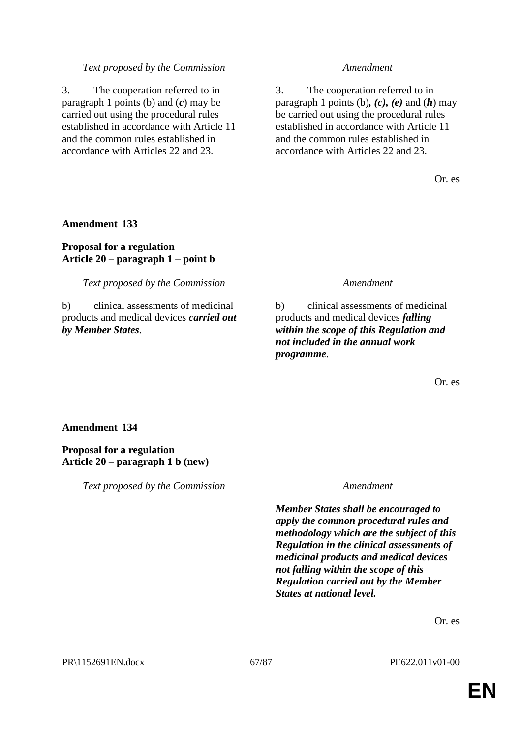3. The cooperation referred to in paragraph 1 points (b) and (*c*) may be carried out using the procedural rules established in accordance with Article 11 and the common rules established in accordance with Articles 22 and 23.

3. The cooperation referred to in paragraph 1 points (b)*, (c), (e)* and (*h*) may be carried out using the procedural rules established in accordance with Article 11 and the common rules established in accordance with Articles 22 and 23.

Or. es

### **Amendment 133**

## **Proposal for a regulation Article 20 – paragraph 1 – point b**

*Text proposed by the Commission Amendment*

b) clinical assessments of medicinal products and medical devices *carried out by Member States*.

b) clinical assessments of medicinal products and medical devices *falling within the scope of this Regulation and not included in the annual work programme*.

Or. es

## **Amendment 134**

**Proposal for a regulation Article 20 – paragraph 1 b (new)**

*Text proposed by the Commission Amendment*

*Member States shall be encouraged to apply the common procedural rules and methodology which are the subject of this Regulation in the clinical assessments of medicinal products and medical devices not falling within the scope of this Regulation carried out by the Member States at national level.*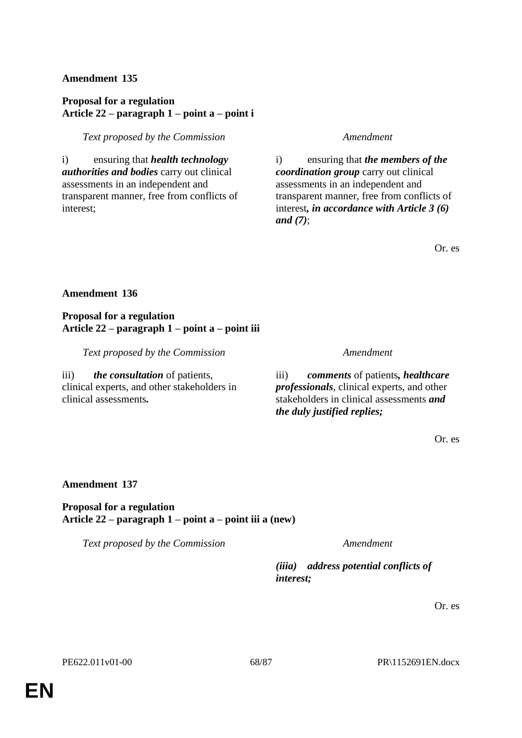# **Proposal for a regulation Article 22 – paragraph 1 – point a – point i**

## *Text proposed by the Commission Amendment*

i) ensuring that *health technology authorities and bodies* carry out clinical assessments in an independent and transparent manner, free from conflicts of interest;

i) ensuring that *the members of the coordination group* carry out clinical assessments in an independent and transparent manner, free from conflicts of interest*, in accordance with Article 3 (6) and (7)*;

Or. es

## **Amendment 136**

**Proposal for a regulation Article 22 – paragraph 1 – point a – point iii**

*Text proposed by the Commission Amendment*

iii) *the consultation* of patients, clinical experts, and other stakeholders in clinical assessments*.*

iii) *comments* of patients*, healthcare professionals*, clinical experts, and other stakeholders in clinical assessments *and the duly justified replies;*

Or. es

## **Amendment 137**

### **Proposal for a regulation Article 22 – paragraph 1 – point a – point iii a (new)**

*Text proposed by the Commission Amendment*

*(iiia) address potential conflicts of interest;*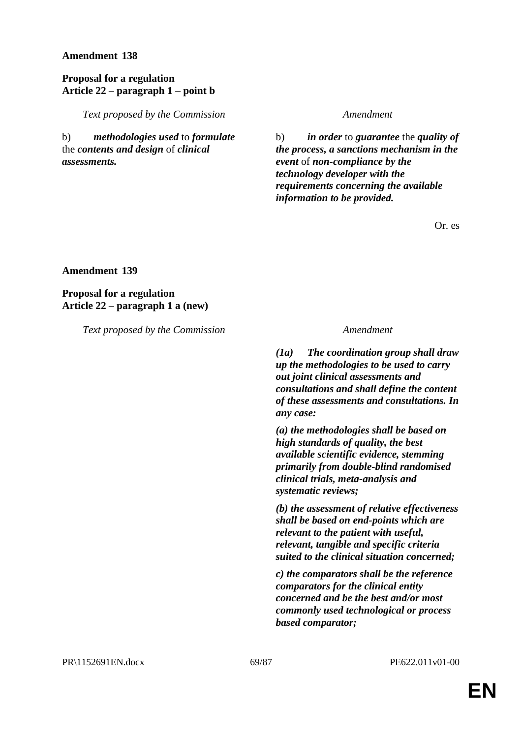## **Proposal for a regulation Article 22 – paragraph 1 – point b**

*Text proposed by the Commission Amendment*

b) *methodologies used* to *formulate* the *contents and design* of *clinical assessments.*

b) *in order* to *guarantee* the *quality of the process, a sanctions mechanism in the event* of *non-compliance by the technology developer with the requirements concerning the available information to be provided.*

Or. es

**Amendment 139**

**Proposal for a regulation Article 22 – paragraph 1 a (new)**

*Text proposed by the Commission Amendment*

*(1a) The coordination group shall draw up the methodologies to be used to carry out joint clinical assessments and consultations and shall define the content of these assessments and consultations. In any case:*

*(a) the methodologies shall be based on high standards of quality, the best available scientific evidence, stemming primarily from double-blind randomised clinical trials, meta-analysis and systematic reviews;*

*(b) the assessment of relative effectiveness shall be based on end-points which are relevant to the patient with useful, relevant, tangible and specific criteria suited to the clinical situation concerned;*

*c) the comparators shall be the reference comparators for the clinical entity concerned and be the best and/or most commonly used technological or process based comparator;*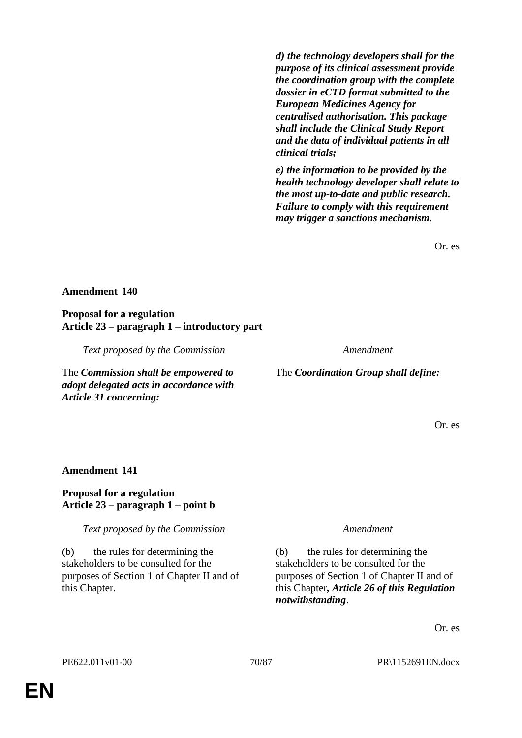*d) the technology developers shall for the purpose of its clinical assessment provide the coordination group with the complete dossier in eCTD format submitted to the European Medicines Agency for centralised authorisation. This package shall include the Clinical Study Report and the data of individual patients in all clinical trials;*

*e) the information to be provided by the health technology developer shall relate to the most up-to-date and public research. Failure to comply with this requirement may trigger a sanctions mechanism.*

Or. es

### **Amendment 140**

**Proposal for a regulation Article 23 – paragraph 1 – introductory part**

*Text proposed by the Commission Amendment*

The *Commission shall be empowered to adopt delegated acts in accordance with Article 31 concerning:*

The *Coordination Group shall define:* 

Or. es

### **Amendment 141**

## **Proposal for a regulation Article 23 – paragraph 1 – point b**

*Text proposed by the Commission Amendment*

(b) the rules for determining the stakeholders to be consulted for the purposes of Section 1 of Chapter II and of this Chapter.

(b) the rules for determining the stakeholders to be consulted for the purposes of Section 1 of Chapter II and of this Chapter*, Article 26 of this Regulation notwithstanding*.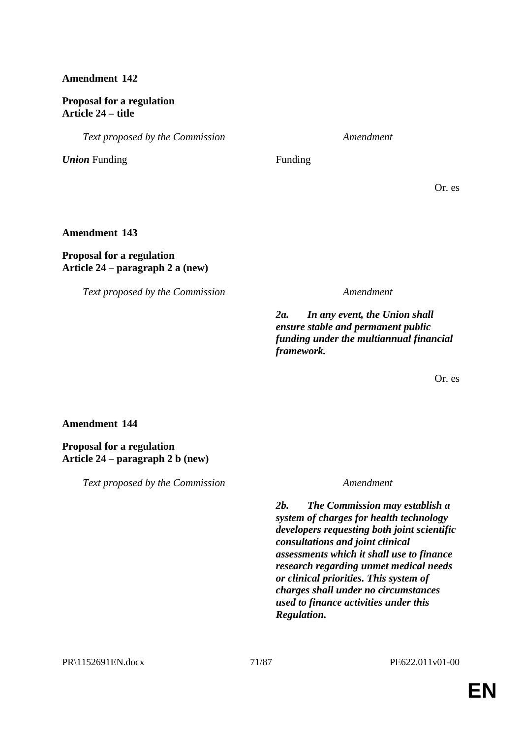# **Proposal for a regulation Article 24 – title**

*Text proposed by the Commission Amendment*

*Union* Funding Funding

Or. es

## **Amendment 143**

# **Proposal for a regulation Article 24 – paragraph 2 a (new)**

*Text proposed by the Commission Amendment*

*2a. In any event, the Union shall ensure stable and permanent public funding under the multiannual financial framework.*

Or. es

## **Amendment 144**

### **Proposal for a regulation Article 24 – paragraph 2 b (new)**

*Text proposed by the Commission Amendment*

*2b. The Commission may establish a system of charges for health technology developers requesting both joint scientific consultations and joint clinical assessments which it shall use to finance research regarding unmet medical needs or clinical priorities. This system of charges shall under no circumstances used to finance activities under this Regulation.*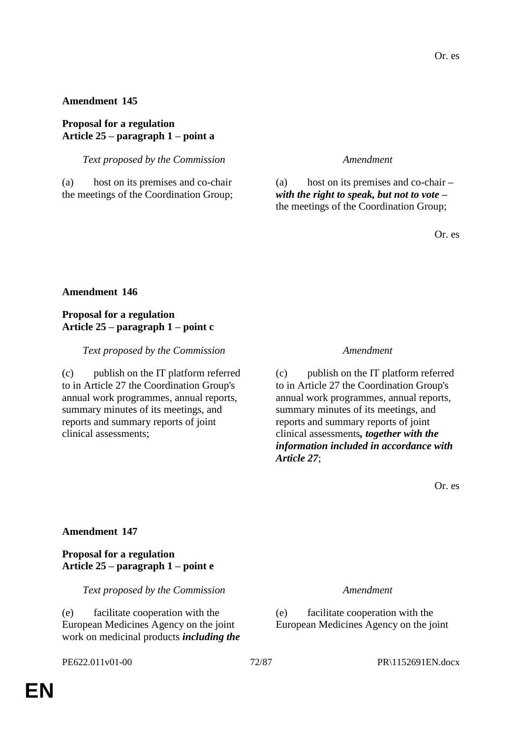## **Proposal for a regulation Article 25 – paragraph 1 – point a**

*Text proposed by the Commission Amendment*

(a) host on its premises and co-chair the meetings of the Coordination Group;

(a) host on its premises and co-chair *– with the right to speak, but not to vote –* the meetings of the Coordination Group;

Or. es

## **Amendment 146**

# **Proposal for a regulation Article 25 – paragraph 1 – point c**

### *Text proposed by the Commission Amendment*

(c) publish on the IT platform referred to in Article 27 the Coordination Group's annual work programmes, annual reports, summary minutes of its meetings, and reports and summary reports of joint clinical assessments;

(c) publish on the IT platform referred to in Article 27 the Coordination Group's annual work programmes, annual reports, summary minutes of its meetings, and reports and summary reports of joint clinical assessments*, together with the information included in accordance with Article 27*;

Or. es

## **Amendment 147**

## **Proposal for a regulation Article 25 – paragraph 1 – point e**

*Text proposed by the Commission Amendment*

(e) facilitate cooperation with the European Medicines Agency on the joint work on medicinal products *including the* 

(e) facilitate cooperation with the European Medicines Agency on the joint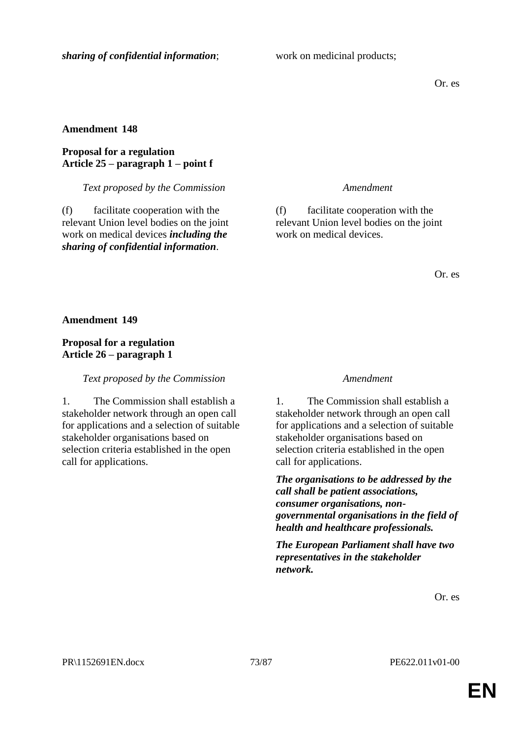Or. es

# **Amendment 148**

# **Proposal for a regulation Article 25 – paragraph 1 – point f**

*Text proposed by the Commission Amendment*

(f) facilitate cooperation with the relevant Union level bodies on the joint work on medical devices *including the sharing of confidential information*.

(f) facilitate cooperation with the relevant Union level bodies on the joint work on medical devices.

Or. es

**Amendment 149**

# **Proposal for a regulation Article 26 – paragraph 1**

*Text proposed by the Commission Amendment*

1. The Commission shall establish a stakeholder network through an open call for applications and a selection of suitable stakeholder organisations based on selection criteria established in the open call for applications.

1. The Commission shall establish a stakeholder network through an open call for applications and a selection of suitable stakeholder organisations based on selection criteria established in the open call for applications.

*The organisations to be addressed by the call shall be patient associations, consumer organisations, nongovernmental organisations in the field of health and healthcare professionals.*

*The European Parliament shall have two representatives in the stakeholder network.*

Or. es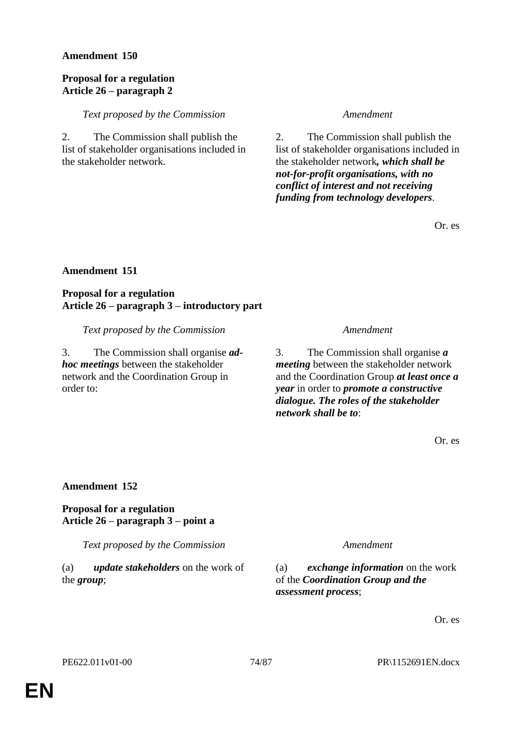## **Proposal for a regulation Article 26 – paragraph 2**

### *Text proposed by the Commission Amendment*

2. The Commission shall publish the list of stakeholder organisations included in the stakeholder network.

2. The Commission shall publish the list of stakeholder organisations included in the stakeholder network*, which shall be not-for-profit organisations, with no conflict of interest and not receiving funding from technology developers*.

Or. es

# **Amendment 151**

**Proposal for a regulation Article 26 – paragraph 3 – introductory part**

*Text proposed by the Commission Amendment*

3. The Commission shall organise *adhoc meetings* between the stakeholder network and the Coordination Group in order to:

3. The Commission shall organise *a meeting* between the stakeholder network and the Coordination Group *at least once a year* in order to *promote a constructive dialogue. The roles of the stakeholder network shall be to*:

Or. es

## **Amendment 152**

## **Proposal for a regulation Article 26 – paragraph 3 – point a**

*Text proposed by the Commission Amendment*

(a) *update stakeholders* on the work of the *group*;

(a) *exchange information* on the work of the *Coordination Group and the assessment process*;

Or. es

PE622.011v01-00 74/87 PR\1152691EN.docx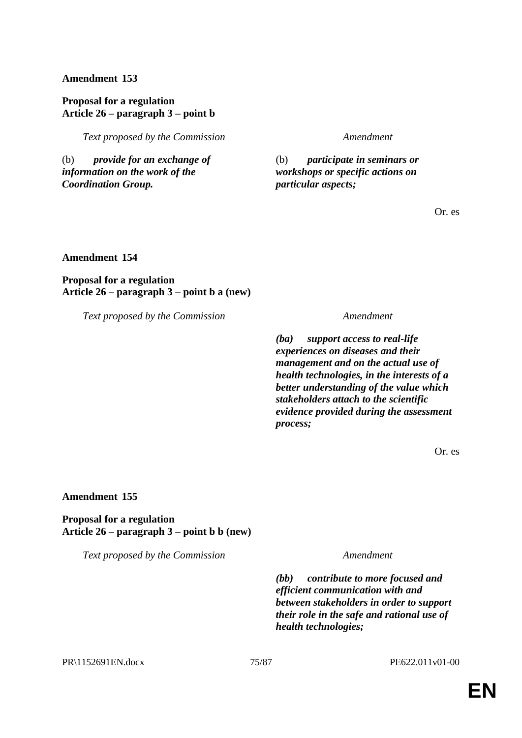**Proposal for a regulation Article 26 – paragraph 3 – point b**

*Text proposed by the Commission Amendment*

(b) *provide for an exchange of information on the work of the Coordination Group.*

(b) *participate in seminars or workshops or specific actions on particular aspects;*

Or. es

**Amendment 154**

**Proposal for a regulation Article 26 – paragraph 3 – point b a (new)**

*Text proposed by the Commission Amendment*

*(ba) support access to real-life experiences on diseases and their management and on the actual use of health technologies, in the interests of a better understanding of the value which stakeholders attach to the scientific evidence provided during the assessment process;*

Or. es

## **Amendment 155**

**Proposal for a regulation Article 26 – paragraph 3 – point b b (new)**

*Text proposed by the Commission Amendment*

*(bb) contribute to more focused and efficient communication with and between stakeholders in order to support their role in the safe and rational use of health technologies;*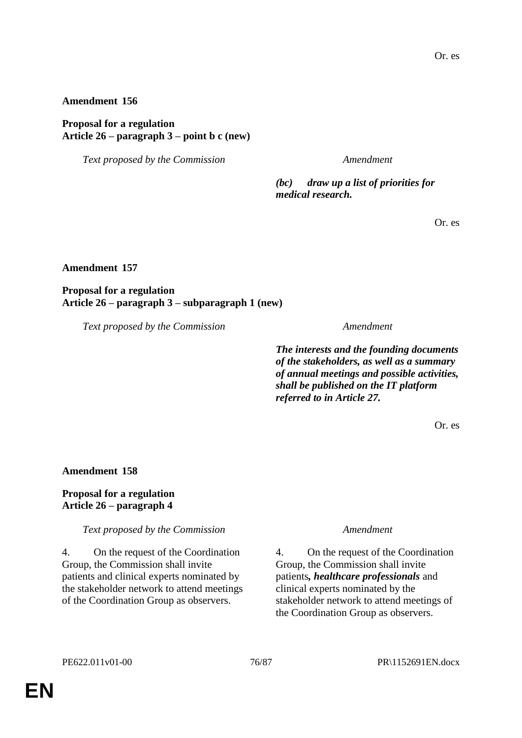### **Proposal for a regulation Article 26 – paragraph 3 – point b c (new)**

*Text proposed by the Commission Amendment*

*(bc) draw up a list of priorities for medical research.*

Or. es

#### **Amendment 157**

# **Proposal for a regulation Article 26 – paragraph 3 – subparagraph 1 (new)**

*Text proposed by the Commission Amendment*

*The interests and the founding documents of the stakeholders, as well as a summary of annual meetings and possible activities, shall be published on the IT platform referred to in Article 27.*

Or. es

#### **Amendment 158**

## **Proposal for a regulation Article 26 – paragraph 4**

*Text proposed by the Commission Amendment*

4. On the request of the Coordination Group, the Commission shall invite patients and clinical experts nominated by the stakeholder network to attend meetings of the Coordination Group as observers.

4. On the request of the Coordination Group, the Commission shall invite patients*, healthcare professionals* and clinical experts nominated by the stakeholder network to attend meetings of the Coordination Group as observers.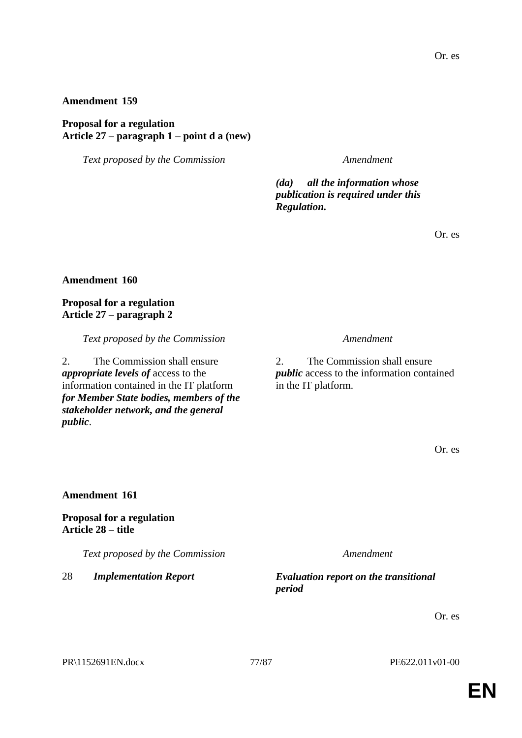**Proposal for a regulation Article 27 – paragraph 1 – point d a (new)**

*Text proposed by the Commission Amendment*

*(da) all the information whose publication is required under this Regulation.*

Or. es

#### **Amendment 160**

### **Proposal for a regulation Article 27 – paragraph 2**

*Text proposed by the Commission Amendment*

2. The Commission shall ensure *appropriate levels of* access to the information contained in the IT platform *for Member State bodies, members of the stakeholder network, and the general public*.

2. The Commission shall ensure *public* access to the information contained in the IT platform.

Or. es

### **Amendment 161**

**Proposal for a regulation Article 28 – title**

*Text proposed by the Commission Amendment*

28 *Implementation Report Evaluation report on the transitional period*

Or. es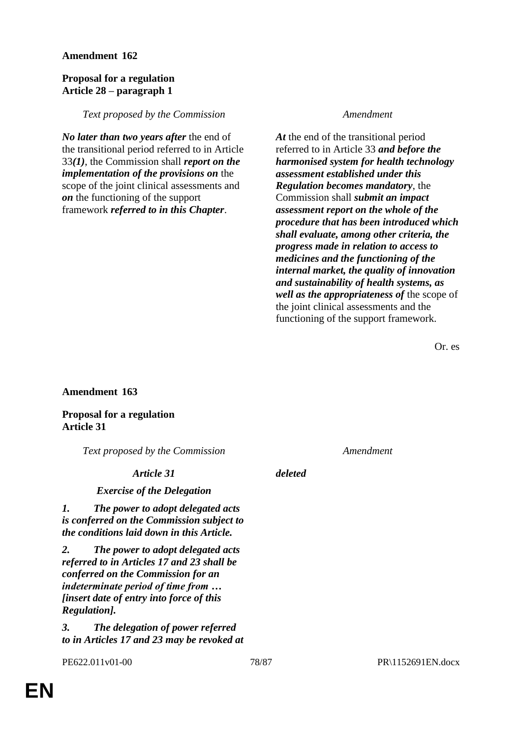### **Proposal for a regulation Article 28 – paragraph 1**

### *Text proposed by the Commission Amendment*

*No later than two years after* the end of the transitional period referred to in Article 33*(1)*, the Commission shall *report on the implementation of the provisions on* the scope of the joint clinical assessments and *on* the functioning of the support framework *referred to in this Chapter*.

*At* the end of the transitional period referred to in Article 33 *and before the harmonised system for health technology assessment established under this Regulation becomes mandatory*, the Commission shall *submit an impact assessment report on the whole of the procedure that has been introduced which shall evaluate, among other criteria, the progress made in relation to access to medicines and the functioning of the internal market, the quality of innovation and sustainability of health systems, as well as the appropriateness of* the scope of the joint clinical assessments and the functioning of the support framework.

Or. es

## **Amendment 163**

**Proposal for a regulation Article 31**

*Text proposed by the Commission Amendment*

## *Article 31 deleted*

## *Exercise of the Delegation*

*1. The power to adopt delegated acts is conferred on the Commission subject to the conditions laid down in this Article.*

*2. The power to adopt delegated acts referred to in Articles 17 and 23 shall be conferred on the Commission for an indeterminate period of time from … [insert date of entry into force of this Regulation].*

*3. The delegation of power referred to in Articles 17 and 23 may be revoked at*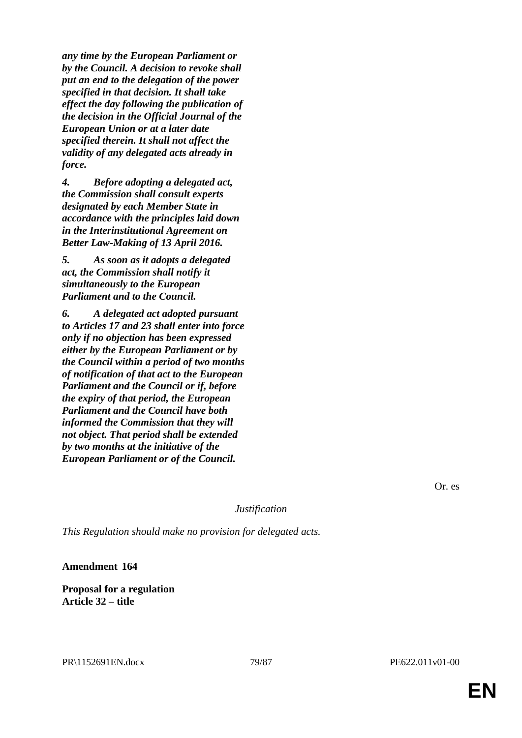*any time by the European Parliament or by the Council. A decision to revoke shall put an end to the delegation of the power specified in that decision. It shall take effect the day following the publication of the decision in the Official Journal of the European Union or at a later date specified therein. It shall not affect the validity of any delegated acts already in force.*

*4. Before adopting a delegated act, the Commission shall consult experts designated by each Member State in accordance with the principles laid down in the Interinstitutional Agreement on Better Law-Making of 13 April 2016.*

*5. As soon as it adopts a delegated act, the Commission shall notify it simultaneously to the European Parliament and to the Council.*

*6. A delegated act adopted pursuant to Articles 17 and 23 shall enter into force only if no objection has been expressed either by the European Parliament or by the Council within a period of two months of notification of that act to the European Parliament and the Council or if, before the expiry of that period, the European Parliament and the Council have both informed the Commission that they will not object. That period shall be extended by two months at the initiative of the European Parliament or of the Council.*

Or. es

*Justification*

*This Regulation should make no provision for delegated acts.*

**Amendment 164**

**Proposal for a regulation Article 32 – title**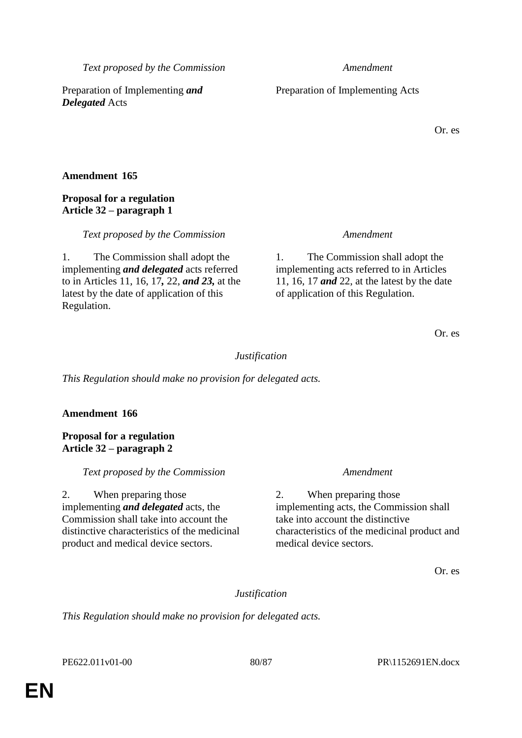*Text proposed by the Commission Amendment*

Preparation of Implementing *and Delegated* Acts

# **Amendment 165**

# **Proposal for a regulation Article 32 – paragraph 1**

*Text proposed by the Commission Amendment*

1. The Commission shall adopt the implementing *and delegated* acts referred to in Articles 11, 16, 17*,* 22, *and 23,* at the latest by the date of application of this Regulation.

1. The Commission shall adopt the implementing acts referred to in Articles 11, 16, 17 *and* 22, at the latest by the date of application of this Regulation.

Or. es

*Justification*

*This Regulation should make no provision for delegated acts.*

# **Amendment 166**

**Proposal for a regulation Article 32 – paragraph 2**

*Text proposed by the Commission Amendment*

2. When preparing those implementing *and delegated* acts, the Commission shall take into account the distinctive characteristics of the medicinal product and medical device sectors.

2. When preparing those implementing acts, the Commission shall take into account the distinctive characteristics of the medicinal product and medical device sectors.

Or. es

*Justification*

*This Regulation should make no provision for delegated acts.*

PE622.011v01-00 80/87 PR\1152691EN.docx

Preparation of Implementing Acts

Or. es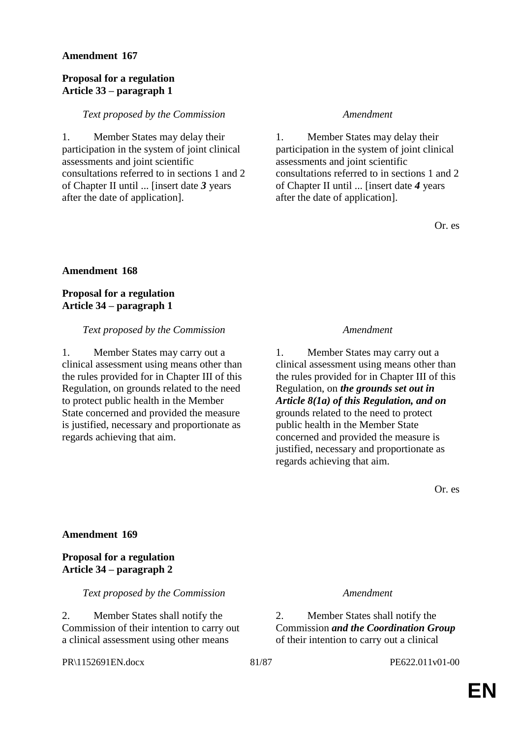#### **Proposal for a regulation Article 33 – paragraph 1**

#### *Text proposed by the Commission Amendment*

1. Member States may delay their participation in the system of joint clinical assessments and joint scientific consultations referred to in sections 1 and 2 of Chapter II until ... [insert date *3* years after the date of application].

1. Member States may delay their participation in the system of joint clinical assessments and joint scientific consultations referred to in sections 1 and 2 of Chapter II until ... [insert date *4* years after the date of application].

Or. es

#### **Amendment 168**

**Proposal for a regulation Article 34 – paragraph 1**

#### *Text proposed by the Commission Amendment*

1. Member States may carry out a clinical assessment using means other than the rules provided for in Chapter III of this Regulation, on grounds related to the need to protect public health in the Member State concerned and provided the measure is justified, necessary and proportionate as regards achieving that aim.

1. Member States may carry out a clinical assessment using means other than the rules provided for in Chapter III of this Regulation, on *the grounds set out in Article 8(1a) of this Regulation, and on* grounds related to the need to protect public health in the Member State concerned and provided the measure is justified, necessary and proportionate as regards achieving that aim.

Or. es

#### **Amendment 169**

**Proposal for a regulation Article 34 – paragraph 2**

*Text proposed by the Commission Amendment*

2. Member States shall notify the Commission of their intention to carry out a clinical assessment using other means

#### PR\1152691EN.docx 81/87 PE622.011v01-00

2. Member States shall notify the Commission *and the Coordination Group* of their intention to carry out a clinical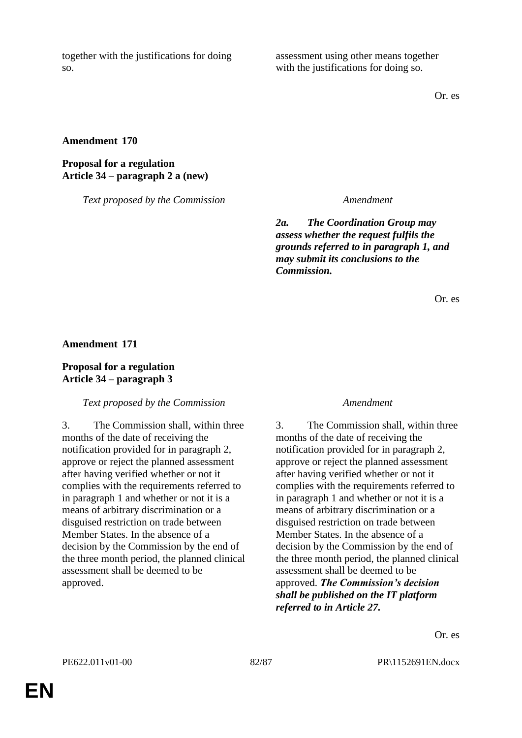together with the justifications for doing so.

assessment using other means together with the justifications for doing so.

Or. es

# **Amendment 170**

# **Proposal for a regulation Article 34 – paragraph 2 a (new)**

*Text proposed by the Commission Amendment*

*2a. The Coordination Group may assess whether the request fulfils the grounds referred to in paragraph 1, and may submit its conclusions to the Commission.*

Or. es

**Amendment 171**

# **Proposal for a regulation Article 34 – paragraph 3**

## *Text proposed by the Commission Amendment*

3. The Commission shall, within three months of the date of receiving the notification provided for in paragraph 2, approve or reject the planned assessment after having verified whether or not it complies with the requirements referred to in paragraph 1 and whether or not it is a means of arbitrary discrimination or a disguised restriction on trade between Member States. In the absence of a decision by the Commission by the end of the three month period, the planned clinical assessment shall be deemed to be approved.

3. The Commission shall, within three months of the date of receiving the notification provided for in paragraph 2, approve or reject the planned assessment after having verified whether or not it complies with the requirements referred to in paragraph 1 and whether or not it is a means of arbitrary discrimination or a disguised restriction on trade between Member States. In the absence of a decision by the Commission by the end of the three month period, the planned clinical assessment shall be deemed to be approved. *The Commission's decision shall be published on the IT platform referred to in Article 27.*

Or. es

PE622.011v01-00 82/87 PR\1152691EN.docx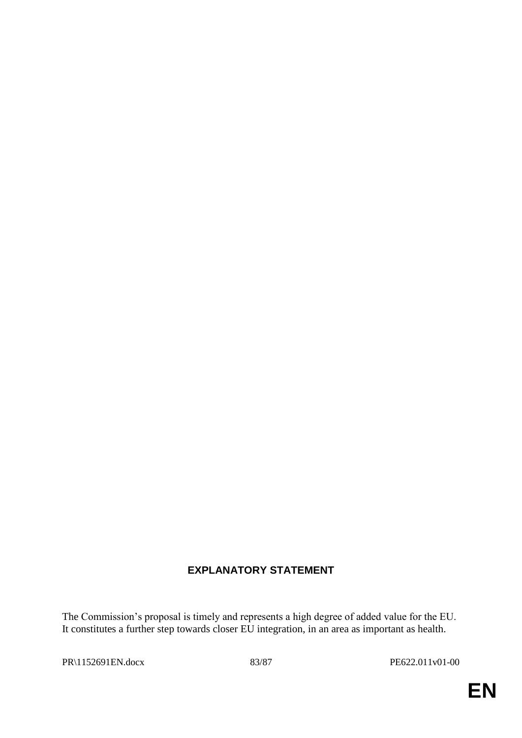# **EXPLANATORY STATEMENT**

The Commission's proposal is timely and represents a high degree of added value for the EU. It constitutes a further step towards closer EU integration, in an area as important as health.

PR\1152691EN.docx 83/87 PE622.011v01-00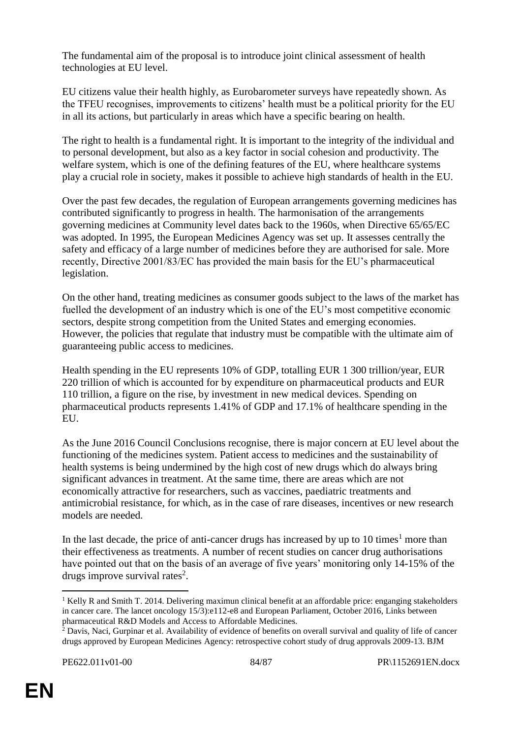The fundamental aim of the proposal is to introduce joint clinical assessment of health technologies at EU level.

EU citizens value their health highly, as Eurobarometer surveys have repeatedly shown. As the TFEU recognises, improvements to citizens' health must be a political priority for the EU in all its actions, but particularly in areas which have a specific bearing on health.

The right to health is a fundamental right. It is important to the integrity of the individual and to personal development, but also as a key factor in social cohesion and productivity. The welfare system, which is one of the defining features of the EU, where healthcare systems play a crucial role in society, makes it possible to achieve high standards of health in the EU.

Over the past few decades, the regulation of European arrangements governing medicines has contributed significantly to progress in health. The harmonisation of the arrangements governing medicines at Community level dates back to the 1960s, when Directive 65/65/EC was adopted. In 1995, the European Medicines Agency was set up. It assesses centrally the safety and efficacy of a large number of medicines before they are authorised for sale. More recently, Directive 2001/83/EC has provided the main basis for the EU's pharmaceutical legislation.

On the other hand, treating medicines as consumer goods subject to the laws of the market has fuelled the development of an industry which is one of the EU's most competitive economic sectors, despite strong competition from the United States and emerging economies. However, the policies that regulate that industry must be compatible with the ultimate aim of guaranteeing public access to medicines.

Health spending in the EU represents 10% of GDP, totalling EUR 1 300 trillion/year, EUR 220 trillion of which is accounted for by expenditure on pharmaceutical products and EUR 110 trillion, a figure on the rise, by investment in new medical devices. Spending on pharmaceutical products represents 1.41% of GDP and 17.1% of healthcare spending in the **EU** 

As the June 2016 Council Conclusions recognise, there is major concern at EU level about the functioning of the medicines system. Patient access to medicines and the sustainability of health systems is being undermined by the high cost of new drugs which do always bring significant advances in treatment. At the same time, there are areas which are not economically attractive for researchers, such as vaccines, paediatric treatments and antimicrobial resistance, for which, as in the case of rare diseases, incentives or new research models are needed.

In the last decade, the price of anti-cancer drugs has increased by up to  $10 \text{ times}^1$  more than their effectiveness as treatments. A number of recent studies on cancer drug authorisations have pointed out that on the basis of an average of five years' monitoring only 14-15% of the drugs improve survival rates<sup>2</sup>.

 $\overline{a}$ <sup>1</sup> Kelly R and Smith T. 2014. Delivering maximun clinical benefit at an affordable price: enganging stakeholders in cancer care. The lancet oncology 15/3):e112-e8 and European Parliament, October 2016, Links between pharmaceutical R&D Models and Access to Affordable Medicines.

 $^2$  Davis, Naci, Gurpinar et al. Availability of evidence of benefits on overall survival and quality of life of cancer drugs approved by European Medicines Agency: retrospective cohort study of drug approvals 2009-13. BJM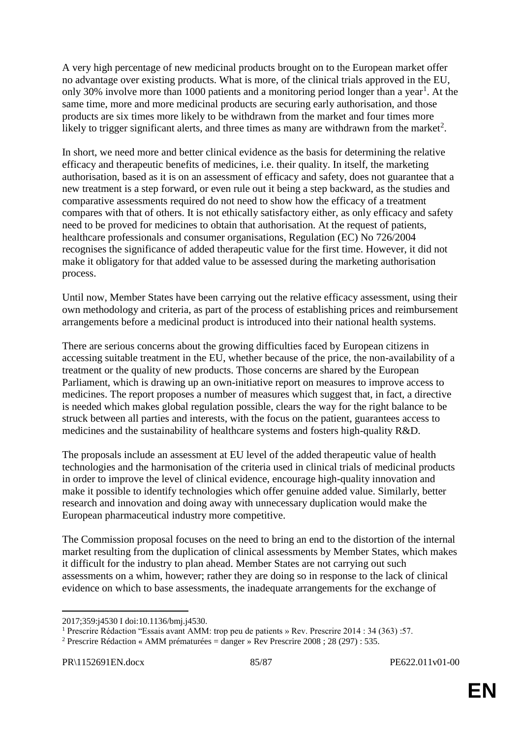A very high percentage of new medicinal products brought on to the European market offer no advantage over existing products. What is more, of the clinical trials approved in the EU, only 30% involve more than 1000 patients and a monitoring period longer than a year<sup>1</sup>. At the same time, more and more medicinal products are securing early authorisation, and those products are six times more likely to be withdrawn from the market and four times more likely to trigger significant alerts, and three times as many are withdrawn from the market<sup>2</sup>.

In short, we need more and better clinical evidence as the basis for determining the relative efficacy and therapeutic benefits of medicines, i.e. their quality. In itself, the marketing authorisation, based as it is on an assessment of efficacy and safety, does not guarantee that a new treatment is a step forward, or even rule out it being a step backward, as the studies and comparative assessments required do not need to show how the efficacy of a treatment compares with that of others. It is not ethically satisfactory either, as only efficacy and safety need to be proved for medicines to obtain that authorisation. At the request of patients, healthcare professionals and consumer organisations, Regulation (EC) No 726/2004 recognises the significance of added therapeutic value for the first time. However, it did not make it obligatory for that added value to be assessed during the marketing authorisation process.

Until now, Member States have been carrying out the relative efficacy assessment, using their own methodology and criteria, as part of the process of establishing prices and reimbursement arrangements before a medicinal product is introduced into their national health systems.

There are serious concerns about the growing difficulties faced by European citizens in accessing suitable treatment in the EU, whether because of the price, the non-availability of a treatment or the quality of new products. Those concerns are shared by the European Parliament, which is drawing up an own-initiative report on measures to improve access to medicines. The report proposes a number of measures which suggest that, in fact, a directive is needed which makes global regulation possible, clears the way for the right balance to be struck between all parties and interests, with the focus on the patient, guarantees access to medicines and the sustainability of healthcare systems and fosters high-quality R&D.

The proposals include an assessment at EU level of the added therapeutic value of health technologies and the harmonisation of the criteria used in clinical trials of medicinal products in order to improve the level of clinical evidence, encourage high-quality innovation and make it possible to identify technologies which offer genuine added value. Similarly, better research and innovation and doing away with unnecessary duplication would make the European pharmaceutical industry more competitive.

The Commission proposal focuses on the need to bring an end to the distortion of the internal market resulting from the duplication of clinical assessments by Member States, which makes it difficult for the industry to plan ahead. Member States are not carrying out such assessments on a whim, however; rather they are doing so in response to the lack of clinical evidence on which to base assessments, the inadequate arrangements for the exchange of

 $\overline{a}$ 

<sup>2017;359:</sup>j4530 I doi:10.1136/bmj.j4530.

<sup>1</sup> Prescrire Rédaction "Essais avant AMM: trop peu de patients » Rev. Prescrire 2014 : 34 (363) :57.

<sup>&</sup>lt;sup>2</sup> Prescrire Rédaction « AMM prématurées = danger » Rev Prescrire 2008 ; 28 (297) : 535.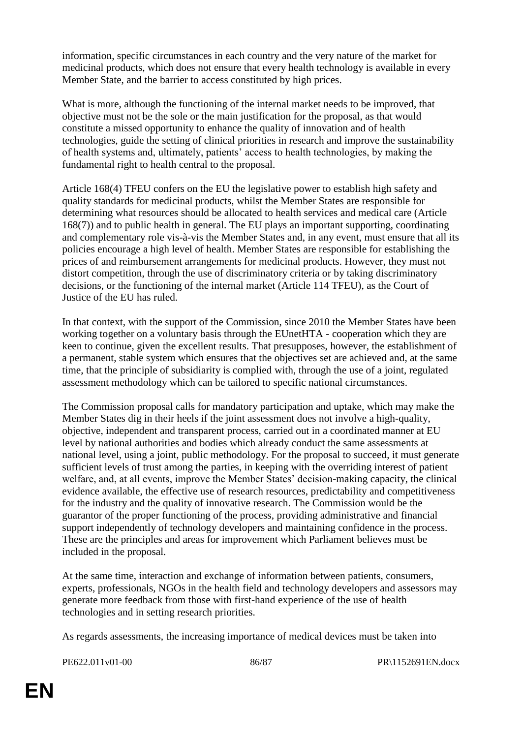information, specific circumstances in each country and the very nature of the market for medicinal products, which does not ensure that every health technology is available in every Member State, and the barrier to access constituted by high prices.

What is more, although the functioning of the internal market needs to be improved, that objective must not be the sole or the main justification for the proposal, as that would constitute a missed opportunity to enhance the quality of innovation and of health technologies, guide the setting of clinical priorities in research and improve the sustainability of health systems and, ultimately, patients' access to health technologies, by making the fundamental right to health central to the proposal.

Article 168(4) TFEU confers on the EU the legislative power to establish high safety and quality standards for medicinal products, whilst the Member States are responsible for determining what resources should be allocated to health services and medical care (Article 168(7)) and to public health in general. The EU plays an important supporting, coordinating and complementary role vis-à-vis the Member States and, in any event, must ensure that all its policies encourage a high level of health. Member States are responsible for establishing the prices of and reimbursement arrangements for medicinal products. However, they must not distort competition, through the use of discriminatory criteria or by taking discriminatory decisions, or the functioning of the internal market (Article 114 TFEU), as the Court of Justice of the EU has ruled.

In that context, with the support of the Commission, since 2010 the Member States have been working together on a voluntary basis through the EUnetHTA - cooperation which they are keen to continue, given the excellent results. That presupposes, however, the establishment of a permanent, stable system which ensures that the objectives set are achieved and, at the same time, that the principle of subsidiarity is complied with, through the use of a joint, regulated assessment methodology which can be tailored to specific national circumstances.

The Commission proposal calls for mandatory participation and uptake, which may make the Member States dig in their heels if the joint assessment does not involve a high-quality, objective, independent and transparent process, carried out in a coordinated manner at EU level by national authorities and bodies which already conduct the same assessments at national level, using a joint, public methodology. For the proposal to succeed, it must generate sufficient levels of trust among the parties, in keeping with the overriding interest of patient welfare, and, at all events, improve the Member States' decision-making capacity, the clinical evidence available, the effective use of research resources, predictability and competitiveness for the industry and the quality of innovative research. The Commission would be the guarantor of the proper functioning of the process, providing administrative and financial support independently of technology developers and maintaining confidence in the process. These are the principles and areas for improvement which Parliament believes must be included in the proposal.

At the same time, interaction and exchange of information between patients, consumers, experts, professionals, NGOs in the health field and technology developers and assessors may generate more feedback from those with first-hand experience of the use of health technologies and in setting research priorities.

As regards assessments, the increasing importance of medical devices must be taken into